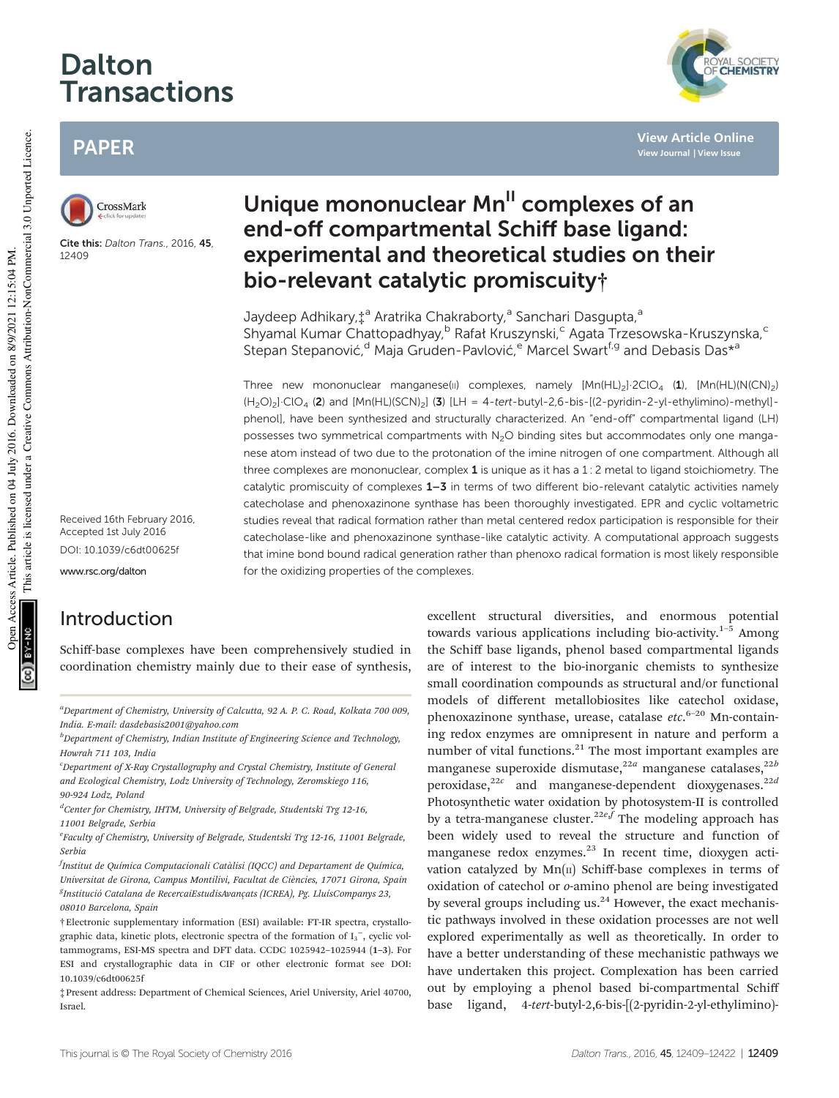# Dalton Transactions

# PAPER



Cite this: Dalton Trans., 2016, 45, 12409

Received 16th February 2016, Accepted 1st July 2016 DOI: 10.1039/c6dt00625f

www.rsc.org/dalton

# Introduction

Schiff-base complexes have been comprehensively studied in coordination chemistry mainly due to their ease of synthesis,

 ${}^a$ Department of Chemistry, University of Calcutta, 92 A. P. C. Road, Kolkata 700 009, India. E-mail: dasdebasis2001@yahoo.com

 $<sup>b</sup>$ Department of Chemistry, Indian Institute of Engineering Science and Technology,</sup> Howrah 711 103, India

 $c^c$ Department of X-Ray Crystallography and Crystal Chemistry, Institute of General and Ecological Chemistry, Lodz University of Technology, Zeromskiego 116, 90-924 Lodz, Poland

<sup>d</sup>Center for Chemistry, IHTM, University of Belgrade, Studentski Trg 12-16, 11001 Belgrade, Serbia

<sup>e</sup>Faculty of Chemistry, University of Belgrade, Studentski Trg 12-16, 11001 Belgrade, Serbia

<sup>f</sup>Institut de Química Computacionali Catàlisi (IQCC) and Departament de Química, Universitat de Girona, Campus Montilivi, Facultat de Ciències, 17071 Girona, Spain <sup>g</sup>Institució Catalana de RecercaiEstudisAvançats (ICREA), Pg. LluísCompanys 23, 08010 Barcelona, Spain

†Electronic supplementary information (ESI) available: FT-IR spectra, crystallographic data, kinetic plots, electronic spectra of the formation of  $I_3^-$ , cyclic voltammograms, ESI-MS spectra and DFT data. CCDC 1025942–1025944 (1–3). For ESI and crystallographic data in CIF or other electronic format see DOI: 10.1039/c6dt00625f

‡Present address: Department of Chemical Sciences, Ariel University, Ariel 40700, Israel.

# Unique mononuclear Mn<sup>II</sup> complexes of an end-off compartmental Schiff base ligand: experimental and theoretical studies on their bio-relevant catalytic promiscuity†

Jaydeep Adhikary,‡<sup>a</sup> Aratrika Chakraborty,<sup>a</sup> Sanchari Dasgupta,<sup>a</sup> Shyamal Kumar Chattopadhyay, <sup>b</sup> Rafał Kruszynski, <sup>c</sup> Agata Trzesowska-Kruszynska, <sup>c</sup> Stepan Stepanović, <sup>d</sup> Maja Gruden-Pavlović, <sup>e</sup> Marcel Swart<sup>f, g</sup> and Debasis Das\*<sup>a</sup>

Three new mononuclear manganese(II) complexes, namely  $[Mn(HL)_2]$ -2ClO<sub>4</sub> (1),  $[Mn(HL)(N(CN)_2)$  $(H_2O)_2$ ·ClO<sub>4</sub> (2) and  $[Mn(HL)(SCN)_2]$  (3)  $[LH = 4-tert-butyl-2,6-bis-[(2-pyridin-2-yl-ethylimino)-methyl]$ phenol], have been synthesized and structurally characterized. An "end-off" compartmental ligand (LH) possesses two symmetrical compartments with N<sub>2</sub>O binding sites but accommodates only one manganese atom instead of two due to the protonation of the imine nitrogen of one compartment. Although all three complexes are mononuclear, complex  $1$  is unique as it has a  $1:2$  metal to ligand stoichiometry. The catalytic promiscuity of complexes  $1-3$  in terms of two different bio-relevant catalytic activities namely catecholase and phenoxazinone synthase has been thoroughly investigated. EPR and cyclic voltametric studies reveal that radical formation rather than metal centered redox participation is responsible for their catecholase-like and phenoxazinone synthase-like catalytic activity. A computational approach suggests that imine bond bound radical generation rather than phenoxo radical formation is most likely responsible for the oxidizing properties of the complexes.

> excellent structural diversities, and enormous potential towards various applications including bio-activity.<sup>1-5</sup> Among the Schiff base ligands, phenol based compartmental ligands are of interest to the bio-inorganic chemists to synthesize small coordination compounds as structural and/or functional models of different metallobiosites like catechol oxidase, phenoxazinone synthase, urease, catalase etc.<sup>6-20</sup> Mn-containing redox enzymes are omnipresent in nature and perform a number of vital functions. $21$  The most important examples are manganese superoxide dismutase,<sup>22a</sup> manganese catalases,<sup>22b</sup> peroxidase,<sup>22c</sup> and manganese-dependent dioxygenases.<sup>22d</sup> Photosynthetic water oxidation by photosystem-II is controlled by a tetra-manganese cluster.<sup>22e,f</sup> The modeling approach has been widely used to reveal the structure and function of manganese redox enzymes.<sup>23</sup> In recent time, dioxygen activation catalyzed by  $Mn(\pi)$  Schiff-base complexes in terms of oxidation of catechol or o-amino phenol are being investigated by several groups including us. $24$  However, the exact mechanistic pathways involved in these oxidation processes are not well explored experimentally as well as theoretically. In order to have a better understanding of these mechanistic pathways we have undertaken this project. Complexation has been carried out by employing a phenol based bi-compartmental Schiff base ligand, 4-tert-butyl-2,6-bis-[(2-pyridin-2-yl-ethylimino)-



**View Article Online View Journal | View Issue**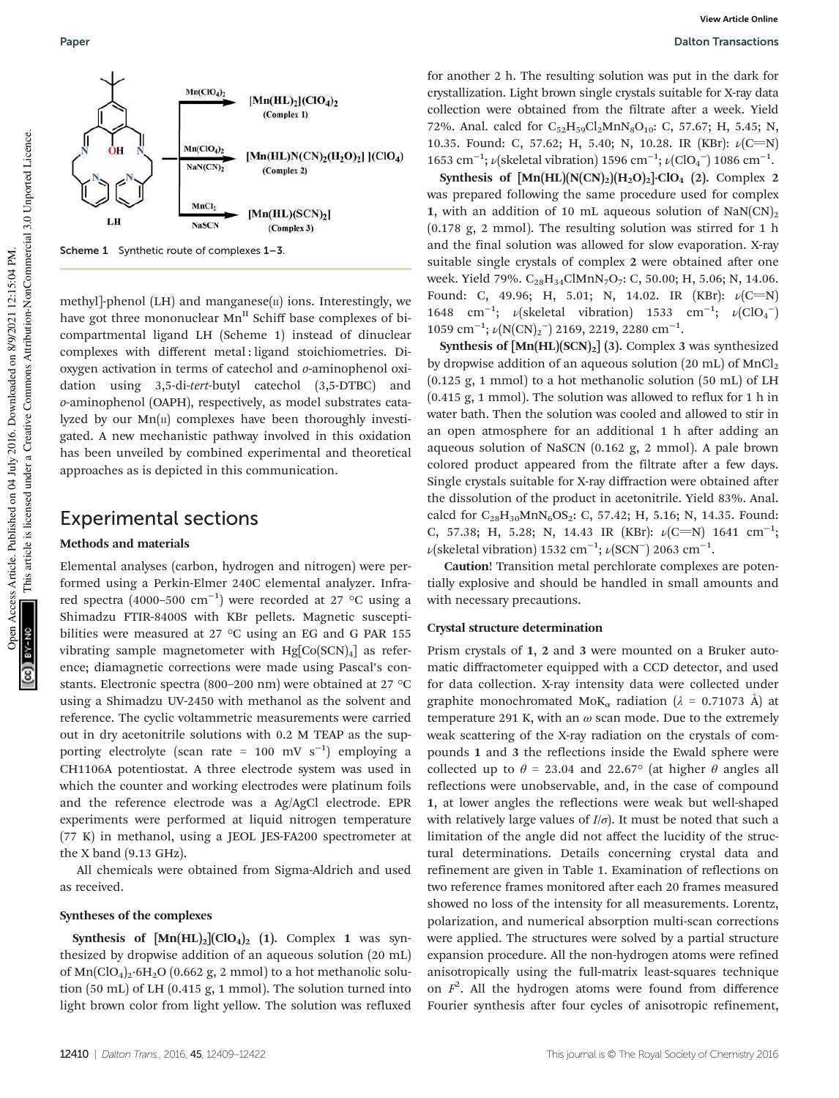

Scheme 1 Synthetic route of complexes 1–3.

methyl]-phenol (LH) and manganese $(n)$  ions. Interestingly, we have got three mononuclear  $Mn^H$  Schiff base complexes of bicompartmental ligand LH (Scheme 1) instead of dinuclear complexes with different metal : ligand stoichiometries. Dioxygen activation in terms of catechol and o-aminophenol oxidation using 3,5-di-tert-butyl catechol (3,5-DTBC) and o-aminophenol (OAPH), respectively, as model substrates catalyzed by our  $Mn(\pi)$  complexes have been thoroughly investigated. A new mechanistic pathway involved in this oxidation has been unveiled by combined experimental and theoretical approaches as is depicted in this communication.

### Experimental sections

#### Methods and materials

Elemental analyses (carbon, hydrogen and nitrogen) were performed using a Perkin-Elmer 240C elemental analyzer. Infrared spectra (4000–500  $\text{cm}^{-1}$ ) were recorded at 27 °C using a Shimadzu FTIR-8400S with KBr pellets. Magnetic susceptibilities were measured at 27 °C using an EG and G PAR 155 vibrating sample magnetometer with  $Hg[Co(SCN)<sub>4</sub>]$  as reference; diamagnetic corrections were made using Pascal's constants. Electronic spectra (800–200 nm) were obtained at 27 °C using a Shimadzu UV-2450 with methanol as the solvent and reference. The cyclic voltammetric measurements were carried out in dry acetonitrile solutions with 0.2 M TEAP as the supporting electrolyte (scan rate = 100 mV s<sup>-1</sup>) employing a CH1106A potentiostat. A three electrode system was used in which the counter and working electrodes were platinum foils and the reference electrode was a Ag/AgCl electrode. EPR experiments were performed at liquid nitrogen temperature (77 K) in methanol, using a JEOL JES-FA200 spectrometer at the X band (9.13 GHz).

All chemicals were obtained from Sigma-Aldrich and used as received.

#### Syntheses of the complexes

Synthesis of  $[Mn(HL)_2]$ (ClO<sub>4</sub>)<sub>2</sub> (1). Complex 1 was synthesized by dropwise addition of an aqueous solution (20 mL) of  $\text{Mn}(\text{ClO}_4)_2$ ·6H<sub>2</sub>O (0.662 g, 2 mmol) to a hot methanolic solution (50 mL) of LH (0.415 g, 1 mmol). The solution turned into light brown color from light yellow. The solution was refluxed

for another 2 h. The resulting solution was put in the dark for crystallization. Light brown single crystals suitable for X-ray data collection were obtained from the filtrate after a week. Yield 72%. Anal. calcd for  $C_{52}H_{59}Cl_2MnN_8O_{10}$ : C, 57.67; H, 5.45; N, 10.35. Found: C, 57.62; H, 5.40; N, 10.28. IR (KBr):  $\nu$ (C=N) 1653 cm<sup>-1</sup>;  $\nu$ (skeletal vibration) 1596 cm<sup>-1</sup>;  $\nu$ (ClO<sub>4</sub><sup>-</sup>) 1086 cm<sup>-1</sup>.

Synthesis of  $[Mn(HL)(N(CN)_2)(H_2O)_2]$ ·ClO<sub>4</sub> (2). Complex 2 was prepared following the same procedure used for complex 1, with an addition of 10 mL aqueous solution of  $\text{NaN}(CN)_2$ (0.178 g, 2 mmol). The resulting solution was stirred for 1 h and the final solution was allowed for slow evaporation. X-ray suitable single crystals of complex 2 were obtained after one week. Yield 79%. C<sub>28</sub>H<sub>34</sub>ClMnN<sub>7</sub>O<sub>7</sub>: C, 50.00; H, 5.06; N, 14.06. Found: C, 49.96; H, 5.01; N, 14.02. IR (KBr):  $\nu$ (C=N) 1648 cm<sup>-1</sup>;  $\nu$ (skeletal vibration) 1533 cm<sup>-1</sup>;  $\nu$ (ClO<sub>4</sub><sup>-</sup>) 1059 cm<sup>-1</sup>;  $\nu(N(CN)_2^-)$  2169, 2219, 2280 cm<sup>-1</sup>.

Synthesis of  $[Mn(HL)(SCN)_2]$  (3). Complex 3 was synthesized by dropwise addition of an aqueous solution (20 mL) of  $MnCl<sub>2</sub>$ (0.125 g, 1 mmol) to a hot methanolic solution (50 mL) of LH (0.415 g, 1 mmol). The solution was allowed to reflux for 1 h in water bath. Then the solution was cooled and allowed to stir in an open atmosphere for an additional 1 h after adding an aqueous solution of NaSCN (0.162 g, 2 mmol). A pale brown colored product appeared from the filtrate after a few days. Single crystals suitable for X-ray diffraction were obtained after the dissolution of the product in acetonitrile. Yield 83%. Anal. calcd for  $C_{28}H_{30}MnN_6OS_2$ : C, 57.42; H, 5.16; N, 14.35. Found: C, 57.38; H, 5.28; N, 14.43 IR (KBr):  $\nu$ (C=N) 1641 cm<sup>-1</sup>;  $\nu$ (skeletal vibration) 1532 cm<sup>-1</sup>;  $\nu$ (SCN<sup>-</sup>) 2063 cm<sup>-1</sup>.

Caution! Transition metal perchlorate complexes are potentially explosive and should be handled in small amounts and with necessary precautions.

#### Crystal structure determination

Prism crystals of 1, 2 and 3 were mounted on a Bruker automatic diffractometer equipped with a CCD detector, and used for data collection. X-ray intensity data were collected under graphite monochromated MoK<sub>α</sub> radiation ( $\lambda = 0.71073$  Å) at temperature 291 K, with an  $\omega$  scan mode. Due to the extremely weak scattering of the X-ray radiation on the crystals of compounds 1 and 3 the reflections inside the Ewald sphere were collected up to  $\theta$  = 23.04 and 22.67° (at higher  $\theta$  angles all reflections were unobservable, and, in the case of compound 1, at lower angles the reflections were weak but well-shaped with relatively large values of  $I/\sigma$ ). It must be noted that such a limitation of the angle did not affect the lucidity of the structural determinations. Details concerning crystal data and refinement are given in Table 1. Examination of reflections on two reference frames monitored after each 20 frames measured showed no loss of the intensity for all measurements. Lorentz, polarization, and numerical absorption multi-scan corrections were applied. The structures were solved by a partial structure expansion procedure. All the non-hydrogen atoms were refined anisotropically using the full-matrix least-squares technique on  $F^2$ . All the hydrogen atoms were found from difference Fourier synthesis after four cycles of anisotropic refinement,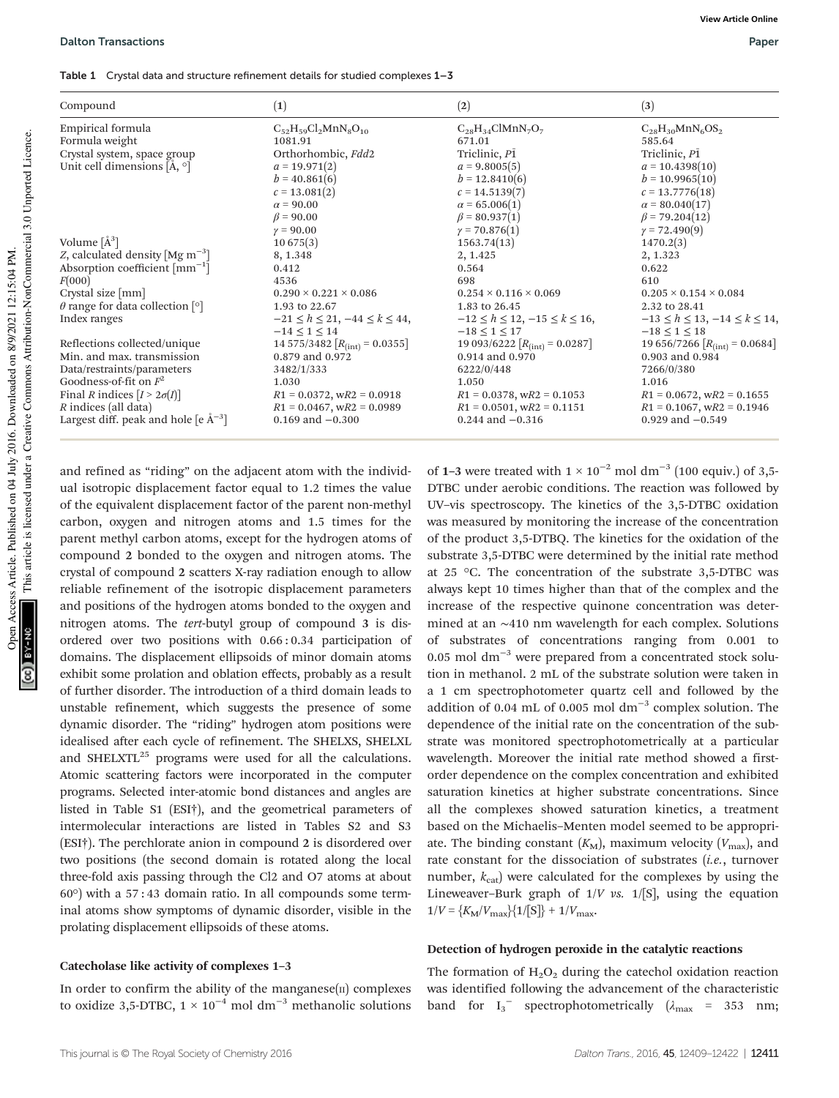| Compound                                                  | $\left( 1\right)$                         | (2)                                       | (3)                                       |
|-----------------------------------------------------------|-------------------------------------------|-------------------------------------------|-------------------------------------------|
| Empirical formula                                         | $C_{52}H_{59}Cl_2MnN_8O_{10}$             | $C_{28}H_{34}ClMnN_7O_7$                  | $C_{28}H_{30}MnN_6OS_2$                   |
| Formula weight                                            | 1081.91                                   | 671.01                                    | 585.64                                    |
| Crystal system, space group                               | Orthorhombic, Fdd2                        | Triclinic, P1                             | Triclinic, P1                             |
| Unit cell dimensions [Å, °]                               | $a = 19.971(2)$                           | $a = 9.8005(5)$                           | $a = 10.4398(10)$                         |
|                                                           | $b = 40.861(6)$                           | $b = 12.8410(6)$                          | $b = 10.9965(10)$                         |
|                                                           | $c = 13.081(2)$                           | $c = 14.5139(7)$                          | $c = 13.7776(18)$                         |
|                                                           | $\alpha$ = 90.00                          | $\alpha = 65.006(1)$                      | $\alpha = 80.040(17)$                     |
|                                                           | $\beta$ = 90.00                           | $\beta = 80.937(1)$                       | $\beta$ = 79.204(12)                      |
|                                                           | $\gamma = 90.00$                          | $\gamma = 70.876(1)$                      | $\gamma = 72.490(9)$                      |
| Volume $\lambda^3$ ]                                      | 10675(3)                                  | 1563.74(13)                               | 1470.2(3)                                 |
| Z, calculated density $[Mg \, m^{-3}]$                    | 8, 1.348                                  | 2, 1.425                                  | 2, 1.323                                  |
| Absorption coefficient $\lceil$ mm <sup>-1</sup> $\rceil$ | 0.412                                     | 0.564                                     | 0.622                                     |
| F(000)                                                    | 4536                                      | 698                                       | 610                                       |
| Crystal size [mm]                                         | $0.290 \times 0.221 \times 0.086$         | $0.254 \times 0.116 \times 0.069$         | $0.205 \times 0.154 \times 0.084$         |
| $\theta$ range for data collection [°]                    | 1.93 to 22.67                             | 1.83 to 26.45                             | 2.32 to 28.41                             |
| Index ranges                                              | $-21 \le h \le 21, -44 \le k \le 44,$     | $-12 \le h \le 12, -15 \le k \le 16,$     | $-13 \le h \le 13, -14 \le k \le 14,$     |
|                                                           | $-14 \le 1 \le 14$                        | $-18 \le 1 \le 17$                        | $-18 \le 1 \le 18$                        |
| Reflections collected/unique                              | 14 575/3482 $[R_{\text{(int)}} = 0.0355]$ | 19 093/6222 $[R_{\text{(int)}} = 0.0287]$ | 19 656/7266 $[R_{\text{(int)}} = 0.0684]$ |
| Min. and max. transmission                                | 0.879 and 0.972                           | 0.914 and 0.970                           | 0.903 and 0.984                           |
| Data/restraints/parameters                                | 3482/1/333                                | 6222/0/448                                | 7266/0/380                                |
| Goodness-of-fit on $F^2$                                  | 1.030                                     | 1.050                                     | 1.016                                     |
| Final R indices $[I > 2\sigma(I)]$                        | $R1 = 0.0372$ , $wR2 = 0.0918$            | $R1 = 0.0378$ , w $R2 = 0.1053$           | $R1 = 0.0672$ , $wR2 = 0.1655$            |
| R indices (all data)                                      | $R1 = 0.0467$ , $wR2 = 0.0989$            | $R1 = 0.0501$ , wR2 = 0.1151              | $R1 = 0.1067$ , $wR2 = 0.1946$            |
| Largest diff. peak and hole $[e \mathring{A}^{-3}]$       | $0.169$ and $-0.300$                      | $0.244$ and $-0.316$                      | 0.929 and $-0.549$                        |

and refined as "riding" on the adjacent atom with the individual isotropic displacement factor equal to 1.2 times the value of the equivalent displacement factor of the parent non-methyl carbon, oxygen and nitrogen atoms and 1.5 times for the parent methyl carbon atoms, except for the hydrogen atoms of compound 2 bonded to the oxygen and nitrogen atoms. The crystal of compound 2 scatters X-ray radiation enough to allow reliable refinement of the isotropic displacement parameters and positions of the hydrogen atoms bonded to the oxygen and nitrogen atoms. The tert-butyl group of compound 3 is disordered over two positions with 0.66 : 0.34 participation of domains. The displacement ellipsoids of minor domain atoms exhibit some prolation and oblation effects, probably as a result of further disorder. The introduction of a third domain leads to unstable refinement, which suggests the presence of some dynamic disorder. The "riding" hydrogen atom positions were idealised after each cycle of refinement. The SHELXS, SHELXL and SHELXTL $^{25}$  programs were used for all the calculations. Atomic scattering factors were incorporated in the computer programs. Selected inter-atomic bond distances and angles are listed in Table S1 (ESI†), and the geometrical parameters of intermolecular interactions are listed in Tables S2 and S3 (ESI†). The perchlorate anion in compound 2 is disordered over two positions (the second domain is rotated along the local three-fold axis passing through the Cl2 and O7 atoms at about 60°) with a 57 : 43 domain ratio. In all compounds some terminal atoms show symptoms of dynamic disorder, visible in the prolating displacement ellipsoids of these atoms.

#### Catecholase like activity of complexes 1–3

In order to confirm the ability of the manganese $(n)$  complexes to oxidize 3,5-DTBC,  $1 \times 10^{-4}$  mol dm<sup>-3</sup> methanolic solutions

of 1–3 were treated with  $1 \times 10^{-2}$  mol dm<sup>-3</sup> (100 equiv.) of 3,5-DTBC under aerobic conditions. The reaction was followed by UV–vis spectroscopy. The kinetics of the 3,5-DTBC oxidation was measured by monitoring the increase of the concentration of the product 3,5-DTBQ. The kinetics for the oxidation of the substrate 3,5-DTBC were determined by the initial rate method at 25 °C. The concentration of the substrate 3,5-DTBC was always kept 10 times higher than that of the complex and the increase of the respective quinone concentration was determined at an ∼410 nm wavelength for each complex. Solutions substrates of concentrations ranging from 0.001 to 0.05 mol dm<sup>-3</sup> were prepared from a concentrated stock solution in methanol. 2 mL of the substrate solution were taken in a 1 cm spectrophotometer quartz cell and followed by the addition of 0.04 mL of 0.005 mol  $dm^{-3}$  complex solution. The dependence of the initial rate on the concentration of the substrate was monitored spectrophotometrically at a particular wavelength. Moreover the initial rate method showed a firstorder dependence on the complex concentration and exhibited saturation kinetics at higher substrate concentrations. Since all the complexes showed saturation kinetics, a treatment based on the Michaelis–Menten model seemed to be appropriate. The binding constant  $(K_M)$ , maximum velocity  $(V_{\text{max}})$ , and rate constant for the dissociation of substrates (*i.e.*, turnover number,  $k_{\text{cat}}$ ) were calculated for the complexes by using the Lineweaver–Burk graph of  $1/V$  vs.  $1/[S]$ , using the equation  $1/V = {K_{\rm M}/V_{\rm max}}{1/[S]} + 1/V_{\rm max}.$ 

#### Detection of hydrogen peroxide in the catalytic reactions

The formation of  $H_2O_2$  during the catechol oxidation reaction was identified following the advancement of the characteristic band for  $I_3$ <sup>-</sup> spectrophotometrically  $(\lambda_{\text{max}} = 353 \text{ nm};$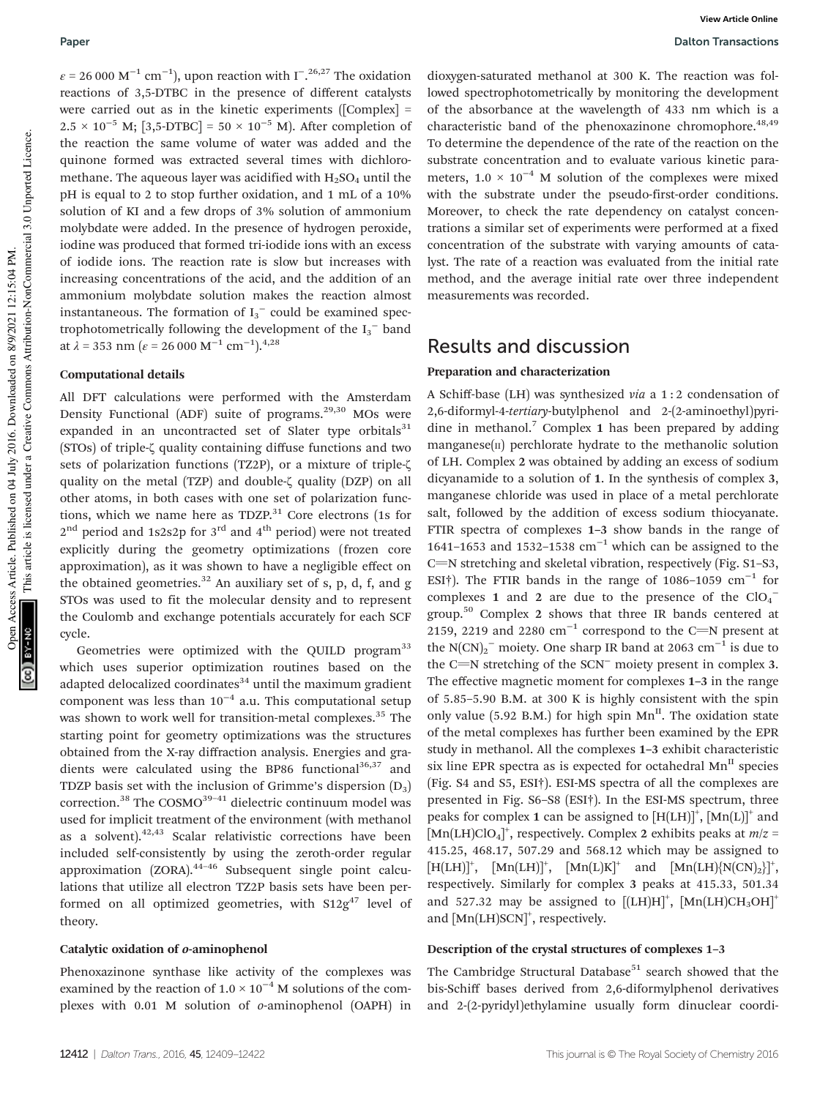$\varepsilon$  = 26 000 M<sup>-1</sup> cm<sup>-1</sup>), upon reaction with I<sup>-26,27</sup> The oxidation reactions of 3,5-DTBC in the presence of different catalysts were carried out as in the kinetic experiments ([Complex] =  $2.5 \times 10^{-5}$  M; [3,5-DTBC] = 50 × 10<sup>-5</sup> M). After completion of the reaction the same volume of water was added and the quinone formed was extracted several times with dichloromethane. The aqueous layer was acidified with  $H_2SO_4$  until the pH is equal to 2 to stop further oxidation, and 1 mL of a 10% solution of KI and a few drops of 3% solution of ammonium molybdate were added. In the presence of hydrogen peroxide, iodine was produced that formed tri-iodide ions with an excess of iodide ions. The reaction rate is slow but increases with increasing concentrations of the acid, and the addition of an ammonium molybdate solution makes the reaction almost instantaneous. The formation of  $I_3^-$  could be examined spectrophotometrically following the development of the  $I_3^-$  band at  $\lambda = 353$  nm ( $\varepsilon = 26000 \text{ M}^{-1} \text{ cm}^{-1}$ ).<sup>4,28</sup>

#### Computational details

All DFT calculations were performed with the Amsterdam Density Functional (ADF) suite of programs. $29,30$  MOs were expanded in an uncontracted set of Slater type orbitals $31$ (STOs) of triple-ζ quality containing diffuse functions and two sets of polarization functions (TZ2P), or a mixture of triple-ζ quality on the metal (TZP) and double-ζ quality (DZP) on all other atoms, in both cases with one set of polarization functions, which we name here as  $TDZP<sup>31</sup>$  Core electrons (1s for  $2<sup>nd</sup>$  period and 1s2s2p for 3<sup>rd</sup> and 4<sup>th</sup> period) were not treated explicitly during the geometry optimizations (frozen core approximation), as it was shown to have a negligible effect on the obtained geometries. $32$  An auxiliary set of s, p, d, f, and g STOs was used to fit the molecular density and to represent the Coulomb and exchange potentials accurately for each SCF cycle.

Geometries were optimized with the QUILD program<sup>33</sup> which uses superior optimization routines based on the adapted delocalized coordinates $34$  until the maximum gradient component was less than  $10^{-4}$  a.u. This computational setup was shown to work well for transition-metal complexes.<sup>35</sup> The starting point for geometry optimizations was the structures obtained from the X-ray diffraction analysis. Energies and gradients were calculated using the BP86 functional $36,37$  and TDZP basis set with the inclusion of Grimme's dispersion  $(D_3)$ correction.<sup>38</sup> The COSMO<sup>39-41</sup> dielectric continuum model was used for implicit treatment of the environment (with methanol as a solvent). $42,43$  Scalar relativistic corrections have been included self-consistently by using the zeroth-order regular approximation (ZORA).44–<sup>46</sup> Subsequent single point calculations that utilize all electron TZ2P basis sets have been performed on all optimized geometries, with  $S12g^{47}$  level of theory.

#### Catalytic oxidation of o-aminophenol

Phenoxazinone synthase like activity of the complexes was examined by the reaction of  $1.0 \times 10^{-4}$  M solutions of the complexes with 0.01 M solution of o-aminophenol (OAPH) in

dioxygen-saturated methanol at 300 K. The reaction was followed spectrophotometrically by monitoring the development of the absorbance at the wavelength of 433 nm which is a characteristic band of the phenoxazinone chromophore.<sup>48,49</sup> To determine the dependence of the rate of the reaction on the substrate concentration and to evaluate various kinetic parameters,  $1.0 \times 10^{-4}$  M solution of the complexes were mixed with the substrate under the pseudo-first-order conditions. Moreover, to check the rate dependency on catalyst concentrations a similar set of experiments were performed at a fixed concentration of the substrate with varying amounts of catalyst. The rate of a reaction was evaluated from the initial rate method, and the average initial rate over three independent measurements was recorded.

### Results and discussion

### Preparation and characterization

A Schiff-base (LH) was synthesized via a 1 : 2 condensation of 2,6-diformyl-4-tertiary-butylphenol and 2-(2-aminoethyl)pyridine in methanol.<sup>7</sup> Complex 1 has been prepared by adding manganese $(n)$  perchlorate hydrate to the methanolic solution of LH. Complex 2 was obtained by adding an excess of sodium dicyanamide to a solution of 1. In the synthesis of complex 3, manganese chloride was used in place of a metal perchlorate salt, followed by the addition of excess sodium thiocyanate. FTIR spectra of complexes 1–3 show bands in the range of 1641–1653 and 1532–1538  $cm^{-1}$  which can be assigned to the C=N stretching and skeletal vibration, respectively (Fig. S1-S3, ESI†). The FTIR bands in the range of 1086–1059 cm−<sup>1</sup> for complexes 1 and 2 are due to the presence of the  $ClO<sub>4</sub>$ <sup>-</sup> group.<sup>50</sup> Complex 2 shows that three IR bands centered at 2159, 2219 and 2280  $cm^{-1}$  correspond to the C=N present at the N(CN)<sub>2</sub><sup>−</sup> moiety. One sharp IR band at 2063 cm<sup>-1</sup> is due to the C=N stretching of the SCN<sup>−</sup> moiety present in complex 3. The effective magnetic moment for complexes 1–3 in the range of 5.85–5.90 B.M. at 300 K is highly consistent with the spin only value (5.92 B.M.) for high spin  $Mn^{\text{II}}$ . The oxidation state of the metal complexes has further been examined by the EPR study in methanol. All the complexes 1–3 exhibit characteristic six line EPR spectra as is expected for octahedral  $Mn<sup>H</sup>$  species (Fig. S4 and S5, ESI†). ESI-MS spectra of all the complexes are presented in Fig. S6–S8 (ESI†). In the ESI-MS spectrum, three peaks for complex 1 can be assigned to  $[H(LH)]^+$ ,  $[Mn(L)]^+$  and [Mn(LH)ClO<sub>4</sub>]<sup>+</sup>, respectively. Complex 2 exhibits peaks at  $m/z =$ 415.25, 468.17, 507.29 and 568.12 which may be assigned to  $[H(LH)]^+$ ,  $[Mn(LH)]^+$ ,  $[Mn(L)K]^+$  and  $[Mn(LH)\{N(CN)_2\}]^+$ , respectively. Similarly for complex 3 peaks at 415.33, 501.34 and 527.32 may be assigned to  $[(LH)H]^+$ ,  $[Mn(LH)CH_3OH]^+$ and [Mn(LH)SCN]<sup>+</sup>, respectively.

#### Description of the crystal structures of complexes 1–3

The Cambridge Structural Database<sup>51</sup> search showed that the bis-Schiff bases derived from 2,6-diformylphenol derivatives and 2-(2-pyridyl)ethylamine usually form dinuclear coordi-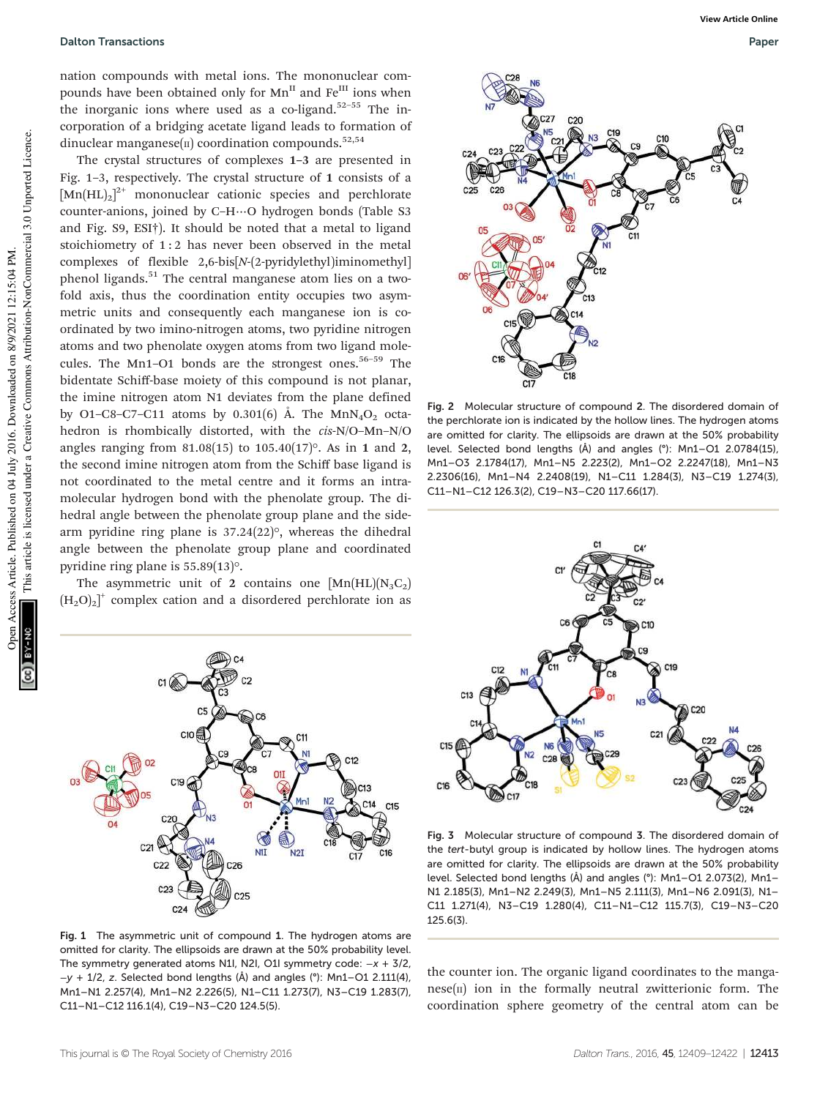#### Dalton Transactions Paper

nation compounds with metal ions. The mononuclear compounds have been obtained only for Mn<sup>II</sup> and Fe<sup>III</sup> ions when the inorganic ions where used as a co-ligand.<sup>52-55</sup> The incorporation of a bridging acetate ligand leads to formation of dinuclear manganese( $\pi$ ) coordination compounds.<sup>52,54</sup>

The crystal structures of complexes 1–3 are presented in Fig. 1–3, respectively. The crystal structure of 1 consists of a  $[Mn(HL)_2]^{2+}$  mononuclear cationic species and perchlorate counter-anions, joined by C–H⋯O hydrogen bonds (Table S3 and Fig. S9, ESI†). It should be noted that a metal to ligand stoichiometry of 1:2 has never been observed in the metal complexes of flexible 2,6-bis[N-(2-pyridylethyl)iminomethyl] phenol ligands.<sup>51</sup> The central manganese atom lies on a twofold axis, thus the coordination entity occupies two asymmetric units and consequently each manganese ion is coordinated by two imino-nitrogen atoms, two pyridine nitrogen atoms and two phenolate oxygen atoms from two ligand molecules. The Mn1-O1 bonds are the strongest ones.<sup>56-59</sup> The bidentate Schiff-base moiety of this compound is not planar, the imine nitrogen atom N1 deviates from the plane defined by O1–C8–C7–C11 atoms by 0.301(6) Å. The MnN<sub>4</sub>O<sub>2</sub> octahedron is rhombically distorted, with the cis-N/O–Mn–N/O angles ranging from  $81.08(15)$  to  $105.40(17)$ °. As in 1 and 2, the second imine nitrogen atom from the Schiff base ligand is not coordinated to the metal centre and it forms an intramolecular hydrogen bond with the phenolate group. The dihedral angle between the phenolate group plane and the sidearm pyridine ring plane is 37.24(22)°, whereas the dihedral angle between the phenolate group plane and coordinated pyridine ring plane is 55.89(13)°.

The asymmetric unit of 2 contains one  $[Mn(HL)(N_3C_2)]$  $(H_2O)_2$ <sup>+</sup> complex cation and a disordered perchlorate ion as



Fig. 2 Molecular structure of compound 2. The disordered domain of the perchlorate ion is indicated by the hollow lines. The hydrogen atoms are omitted for clarity. The ellipsoids are drawn at the 50% probability level. Selected bond lengths (Å) and angles (°): Mn1–O1 2.0784(15), Mn1–O3 2.1784(17), Mn1–N5 2.223(2), Mn1–O2 2.2247(18), Mn1–N3 2.2306(16), Mn1–N4 2.2408(19), N1–C11 1.284(3), N3–C19 1.274(3), C11–N1–C12 126.3(2), C19–N3–C20 117.66(17).



Fig. 3 Molecular structure of compound 3. The disordered domain of the tert-butyl group is indicated by hollow lines. The hydrogen atoms are omitted for clarity. The ellipsoids are drawn at the 50% probability level. Selected bond lengths (Å) and angles (°): Mn1–O1 2.073(2), Mn1– N1 2.185(3), Mn1–N2 2.249(3), Mn1–N5 2.111(3), Mn1–N6 2.091(3), N1– C11 1.271(4), N3–C19 1.280(4), C11–N1–C12 115.7(3), C19–N3–C20 125.6(3).

the counter ion. The organic ligand coordinates to the manga $nese(n)$  ion in the formally neutral zwitterionic form. The coordination sphere geometry of the central atom can be



Fig. 1 The asymmetric unit of compound 1. The hydrogen atoms are omitted for clarity. The ellipsoids are drawn at the 50% probability level. The symmetry generated atoms N1I, N2I, O1I symmetry code: −x + 3/2, −y + 1/2, z. Selected bond lengths (Å) and angles (°): Mn1–O1 2.111(4), Mn1–N1 2.257(4), Mn1–N2 2.226(5), N1–C11 1.273(7), N3–C19 1.283(7), C11–N1–C12 116.1(4), C19–N3–C20 124.5(5).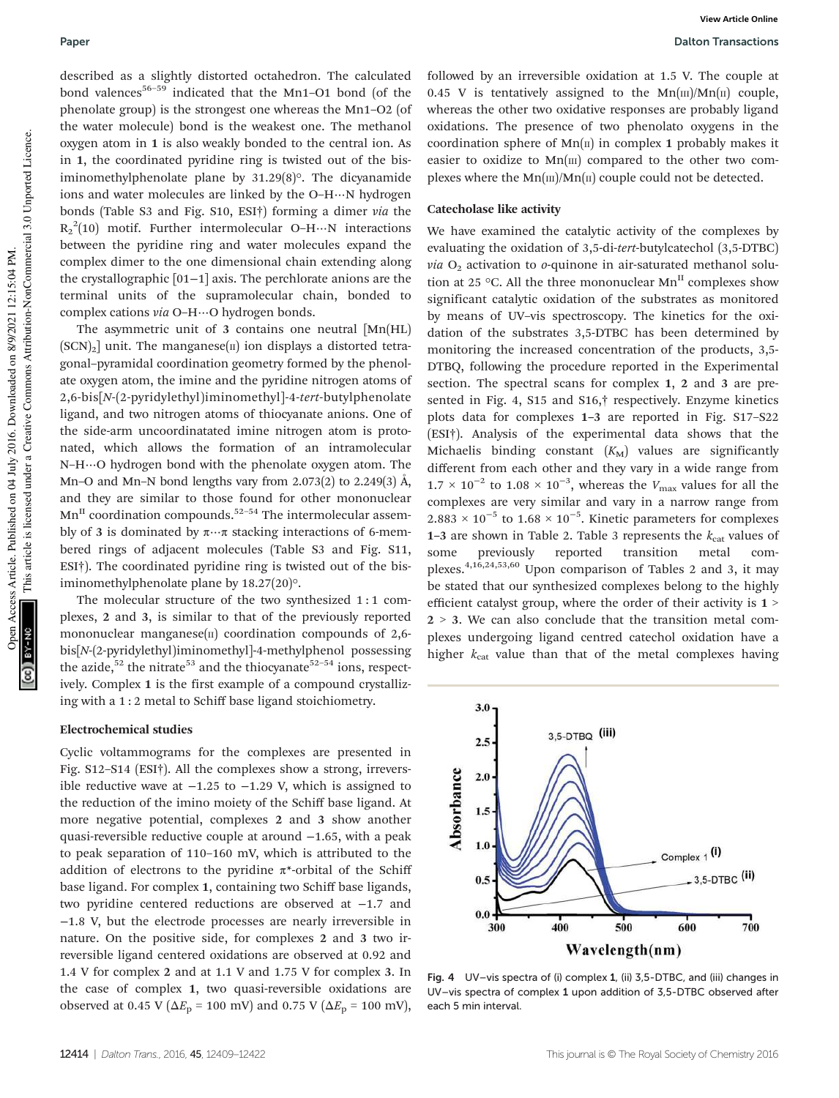described as a slightly distorted octahedron. The calculated bond valences<sup>56-59</sup> indicated that the Mn1-O1 bond (of the phenolate group) is the strongest one whereas the Mn1–O2 (of the water molecule) bond is the weakest one. The methanol oxygen atom in 1 is also weakly bonded to the central ion. As in 1, the coordinated pyridine ring is twisted out of the bisiminomethylphenolate plane by 31.29(8)°. The dicyanamide ions and water molecules are linked by the O–H⋯N hydrogen bonds (Table S3 and Fig. S10, ESI†) forming a dimer via the  $R_2^2(10)$  motif. Further intermolecular O–H…N interactions between the pyridine ring and water molecules expand the complex dimer to the one dimensional chain extending along the crystallographic [01−1] axis. The perchlorate anions are the terminal units of the supramolecular chain, bonded to complex cations via O–H⋯O hydrogen bonds.

The asymmetric unit of 3 contains one neutral [Mn(HL)  $(SCN)<sub>2</sub>$ ] unit. The manganese( $\pi$ ) ion displays a distorted tetragonal–pyramidal coordination geometry formed by the phenolate oxygen atom, the imine and the pyridine nitrogen atoms of 2,6-bis[N-(2-pyridylethyl)iminomethyl]-4-tert-butylphenolate ligand, and two nitrogen atoms of thiocyanate anions. One of the side-arm uncoordinatated imine nitrogen atom is protonated, which allows the formation of an intramolecular N–H⋯O hydrogen bond with the phenolate oxygen atom. The Mn–O and Mn–N bond lengths vary from 2.073(2) to 2.249(3)  $\AA$ , and they are similar to those found for other mononuclear  $Mn<sup>II</sup>$  coordination compounds.<sup>52-54</sup> The intermolecular assembly of 3 is dominated by  $\pi \cdots \pi$  stacking interactions of 6-membered rings of adjacent molecules (Table S3 and Fig. S11, ESI†). The coordinated pyridine ring is twisted out of the bisiminomethylphenolate plane by 18.27(20)°.

The molecular structure of the two synthesized 1 : 1 complexes, 2 and 3, is similar to that of the previously reported mononuclear manganese $(n)$  coordination compounds of 2,6bis[N-(2-pyridylethyl)iminomethyl]-4-methylphenol possessing the azide,<sup>52</sup> the nitrate<sup>53</sup> and the thiocyanate<sup>52–54</sup> ions, respectively. Complex 1 is the first example of a compound crystallizing with a 1 : 2 metal to Schiff base ligand stoichiometry.

#### Electrochemical studies

Cyclic voltammograms for the complexes are presented in Fig. S12–S14 (ESI†). All the complexes show a strong, irreversible reductive wave at  $-1.25$  to  $-1.29$  V, which is assigned to the reduction of the imino moiety of the Schiff base ligand. At more negative potential, complexes 2 and 3 show another quasi-reversible reductive couple at around −1.65, with a peak to peak separation of 110–160 mV, which is attributed to the addition of electrons to the pyridine  $\pi^*$ -orbital of the Schiff base ligand. For complex 1, containing two Schiff base ligands, two pyridine centered reductions are observed at −1.7 and −1.8 V, but the electrode processes are nearly irreversible in nature. On the positive side, for complexes 2 and 3 two irreversible ligand centered oxidations are observed at 0.92 and 1.4 V for complex 2 and at 1.1 V and 1.75 V for complex 3. In the case of complex 1, two quasi-reversible oxidations are observed at 0.45 V ( $\Delta E_{\rm p}$  = 100 mV) and 0.75 V ( $\Delta E_{\rm p}$  = 100 mV),

followed by an irreversible oxidation at 1.5 V. The couple at 0.45 V is tentatively assigned to the  $Mn(m)/Mn(n)$  couple, whereas the other two oxidative responses are probably ligand oxidations. The presence of two phenolato oxygens in the coordination sphere of  $Mn(\pi)$  in complex 1 probably makes it easier to oxidize to  $Mn$ [III] compared to the other two complexes where the  $Mn(m)/Mn(n)$  couple could not be detected.

#### Catecholase like activity

We have examined the catalytic activity of the complexes by evaluating the oxidation of 3,5-di-tert-butylcatechol (3,5-DTBC) via  $O_2$  activation to *o*-quinone in air-saturated methanol solution at 25 °C. All the three mononuclear  $Mn^{\text{II}}$  complexes show significant catalytic oxidation of the substrates as monitored by means of UV–vis spectroscopy. The kinetics for the oxidation of the substrates 3,5-DTBC has been determined by monitoring the increased concentration of the products, 3,5- DTBQ, following the procedure reported in the Experimental section. The spectral scans for complex 1, 2 and 3 are presented in Fig. 4, S15 and S16,† respectively. Enzyme kinetics plots data for complexes 1–3 are reported in Fig. S17–S22 (ESI†). Analysis of the experimental data shows that the Michaelis binding constant  $(K_M)$  values are significantly different from each other and they vary in a wide range from  $1.7 \times 10^{-2}$  to  $1.08 \times 10^{-3}$ , whereas the  $V_{\text{max}}$  values for all the complexes are very similar and vary in a narrow range from  $2.883 \times 10^{-5}$  to  $1.68 \times 10^{-5}$ . Kinetic parameters for complexes 1–3 are shown in Table 2. Table 3 represents the  $k_{cat}$  values of some previously reported transition metal complexes.4,16,24,53,60 Upon comparison of Tables 2 and 3, it may be stated that our synthesized complexes belong to the highly efficient catalyst group, where the order of their activity is 1 >  $2 \geq 3$ . We can also conclude that the transition metal complexes undergoing ligand centred catechol oxidation have a higher  $k_{\text{cat}}$  value than that of the metal complexes having



Fig. 4 UV–vis spectra of (i) complex 1, (ii) 3,5-DTBC, and (iii) changes in UV–vis spectra of complex 1 upon addition of 3,5-DTBC observed after each 5 min interval.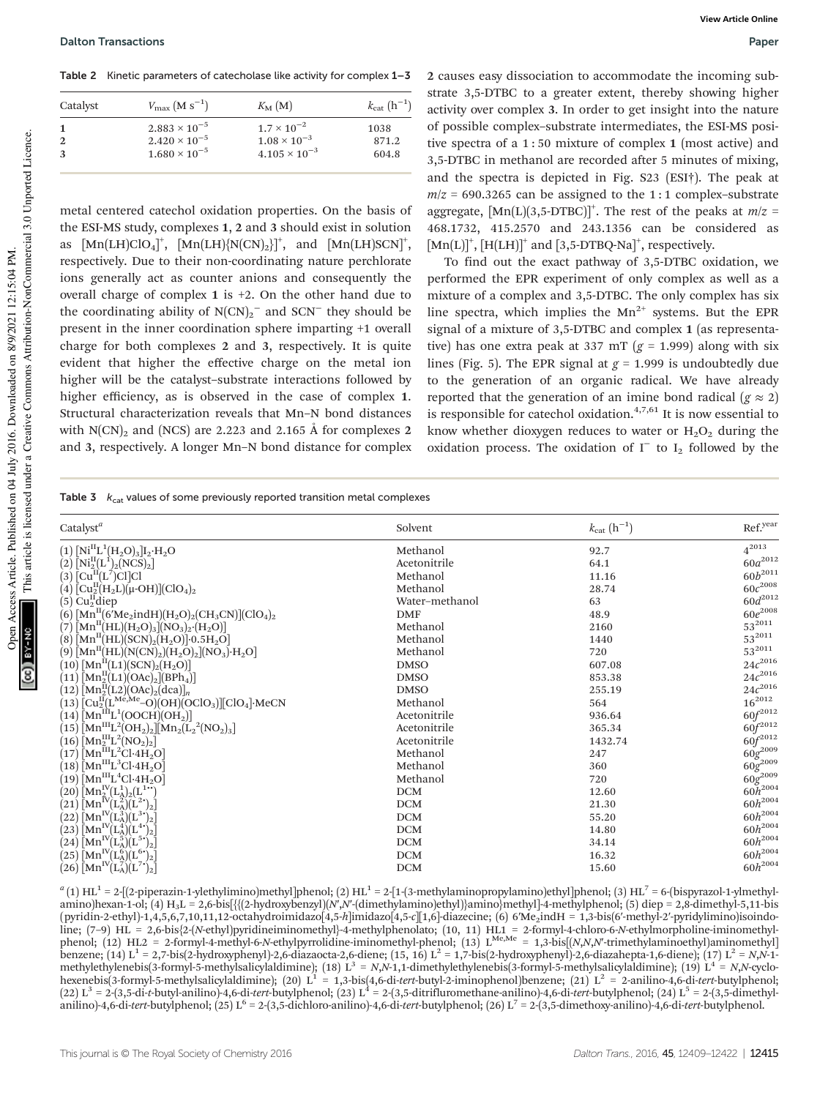Table 2 Kinetic parameters of catecholase like activity for complex 1-3

| $V_{\rm max}$ (M s <sup>-1</sup> ) | $K_{\mathbf{M}}(\mathbf{M})$ | $k_{\rm cat}~({\rm h}^{-1})$ |
|------------------------------------|------------------------------|------------------------------|
| $2.883 \times 10^{-5}$             | $1.7 \times 10^{-2}$         | 1038                         |
| $2.420 \times 10^{-5}$             | $1.08 \times 10^{-3}$        | 871.2                        |
| $1.680 \times 10^{-5}$             | $4.105 \times 10^{-3}$       | 604.8                        |
|                                    |                              |                              |

metal centered catechol oxidation properties. On the basis of the ESI-MS study, complexes 1, 2 and 3 should exist in solution as  $\text{[Mn(LH)ClO}_4]^{\text{+}}$ ,  $\text{[Mn(LH)_{N(CN)_2}]^{\text{+}}}$ , and  $\text{[Mn(LH)SCN]}^{\text{+}}$ , respectively. Due to their non-coordinating nature perchlorate ions generally act as counter anions and consequently the overall charge of complex 1 is +2. On the other hand due to the coordinating ability of  $N(CN)_2$ <sup>-</sup> and  $SCN^-$  they should be present in the inner coordination sphere imparting +1 overall charge for both complexes 2 and 3, respectively. It is quite evident that higher the effective charge on the metal ion higher will be the catalyst–substrate interactions followed by higher efficiency, as is observed in the case of complex 1. Structural characterization reveals that Mn–N bond distances with  $N(CN)_2$  and (NCS) are 2.223 and 2.165 Å for complexes 2 and 3, respectively. A longer Mn–N bond distance for complex

2 causes easy dissociation to accommodate the incoming substrate 3,5-DTBC to a greater extent, thereby showing higher activity over complex 3. In order to get insight into the nature of possible complex–substrate intermediates, the ESI-MS positive spectra of a 1 : 50 mixture of complex 1 (most active) and 3,5-DTBC in methanol are recorded after 5 minutes of mixing, and the spectra is depicted in Fig. S23 (ESI†). The peak at  $m/z = 690.3265$  can be assigned to the 1:1 complex-substrate aggregate,  $[Mn(L)(3,5-DTBC)]^+$ . The rest of the peaks at  $m/z =$ 468.1732, 415.2570 and 243.1356 can be considered as  $[Mn(L)]^+$ ,  $[H(LH)]^+$  and  $[3,5-DTBQ-Na]^+$ , respectively.

To find out the exact pathway of 3,5-DTBC oxidation, we performed the EPR experiment of only complex as well as a mixture of a complex and 3,5-DTBC. The only complex has six line spectra, which implies the  $Mn^{2+}$  systems. But the EPR signal of a mixture of 3,5-DTBC and complex 1 (as representative) has one extra peak at 337 mT ( $g = 1.999$ ) along with six lines (Fig. 5). The EPR signal at  $g = 1.999$  is undoubtedly due to the generation of an organic radical. We have already reported that the generation of an imine bond radical ( $g \approx 2$ ) is responsible for catechol oxidation.<sup>4,7,61</sup> It is now essential to know whether dioxygen reduces to water or  $H_2O_2$  during the oxidation process. The oxidation of  $I^-$  to  $I_2$  followed by the

Table 3  $k_{cat}$  values of some previously reported transition metal complexes

| Catalyst <sup>a</sup>                                                                                                                                                                     | Solvent        | $k_{\rm cat}$ $(h^{-1})$ | Ref.year                                     |
|-------------------------------------------------------------------------------------------------------------------------------------------------------------------------------------------|----------------|--------------------------|----------------------------------------------|
| $(1)$ $[Ni^{\text{II}}L^1(H_2O)_3]I_2\cdot H_2O$                                                                                                                                          | Methanol       | 92.7                     | $4^{2013}$                                   |
| $(2)$ [Ni <sup>II</sup> (L <sup>I</sup> ) <sub>2</sub> (NCS) <sub>2</sub> ]                                                                                                               | Acetonitrile   | 64.1                     | $60a^{2012}$                                 |
| $(3)$ $\left[Cu^{II}(L^7)Cl\right]Cl$                                                                                                                                                     | Methanol       | 11.16                    | $60b^{2011}$                                 |
| $(4)$ $\rm \left[Cu_2^II(H_2L)\right]\left(\mu\text{-}OH\right)]$ $\rm \left(CIO_4\right)_2$                                                                                              | Methanol       | 28.74                    | $60c^{2008}$                                 |
| $(5)$ Cu <sup>II</sup> diep                                                                                                                                                               | Water-methanol | 63                       | $60d^{2012}$                                 |
| (6) $[Mn^H(6'Me_2indH)(H_2O)_2(CH_3CN)](ClO_4)_2$                                                                                                                                         | <b>DMF</b>     | 48.9                     | $60e^{2008}$                                 |
| $(7)\left[\text{Mn}^{\text{II}}(\text{HL})(\text{H}_2\text{O})_3[(\text{NO}_3)_2\cdot(\text{H}_2\text{O})]\right]$                                                                        | Methanol       | 2160                     | $53^{2011}$                                  |
| $(8)$ $\bar{[Mn^{\text{II}}(HL)(SCN)_{2}(H_{2}O)] \cdot 0.5H_{2}O}$                                                                                                                       | Methanol       | 1440                     | $53^{2011}$                                  |
| $\hat{\mathcal{O}}(\Theta)$ $\bar{\mathcal{O}}(\mathrm{Mn}^{\mathrm{II}}(\mathrm{HL})(\mathrm{N}(\mathrm{CN})_2)(\mathrm{H}_2\mathrm{O})_2)[\mathrm{NO}_3)\cdotp \mathrm{H}_2\mathrm{O}]$ | Methanol       | 720                      | $53^{2011}$                                  |
| $(10)$ $[Mn^{\text{II}}(L1)(SCN)_{2}(H_{2}O)]$                                                                                                                                            | <b>DMSO</b>    | 607.08                   | $24c^{2016}$                                 |
| $(11)$ $\bar{[Mn_2^{\text{II}}(L1)(OAc)_2](BPh_4)}$                                                                                                                                       | <b>DMSO</b>    | 853.38                   | $24c^{2016}$                                 |
| $(12)\,\mathrm{[Mn_2^II(L2)(OAc)_2(dca)]_n}$                                                                                                                                              | <b>DMSO</b>    | 255.19                   | $24c^{2016}$                                 |
| $(13)\left[\text{Cu}_{2}^{\text{II}}(\text{L}^{\text{Me}},\text{Me}-\text{O})(\text{OH})(\text{OClO}_{3})\right]\left[\text{ClO}_{4}\right]\text{MeCN}$                                   | Methanol       | 564                      | $16^{2012}$                                  |
| $(14)$ $[Mn^{\text{th}}L^1(OOCH)(OH_2)]$                                                                                                                                                  | Acetonitrile   | 936.64                   | $60f^{2012}$                                 |
| $(15)$ [Mn <sup>III</sup> L <sup>2</sup> (OH <sub>2</sub> ) <sub>2</sub> ][Mn <sub>2</sub> (L <sub>2</sub> <sup>2</sup> (NO <sub>2</sub> ) <sub>3</sub> ]                                 | Acetonitrile   | 365.34                   |                                              |
| $(16)\left[\text{Mn}_2^{\text{III}}\text{L}^2\text{(NO}_2)\right]$                                                                                                                        | Acetonitrile   | 1432.74                  |                                              |
| $(17)$ $\bar{[Mn}^{\text{III}}L^2Cl\cdot 4H_2O]$                                                                                                                                          | Methanol       | 247                      | $60f^{2012}$<br>$60f^{2012}$<br>$60g^{2009}$ |
| $(18)$ Mn <sup>III</sup> L <sup>3</sup> Cl·4H <sub>2</sub> O]                                                                                                                             | Methanol       | 360                      | $60g^{2009}$                                 |
| $(19)$ $\mathrm{[Mn^{III}L^{4}Cl\cdot 4H_{2}O]}$                                                                                                                                          | Methanol       | 720                      |                                              |
| $(20)\, \mathrm{[Mn_2^IV(L_A^1)_2(L^{1**})]}$                                                                                                                                             | DCM            | 12.60                    | $60\tilde{h}^{2004}$                         |
| $(21)\left[\text{Mn}^{\text{IV}}(\text{L}_\text{A}^2)(\text{L}^2)\right]$                                                                                                                 | <b>DCM</b>     | 21.30                    | $60h^{2004}$                                 |
| $(22)\left[\text{Mn}^{\text{IV}}(\text{L}_\text{A}^3)(\text{L}^3)\right]_2$                                                                                                               | <b>DCM</b>     | 55.20                    | $60h^{2004}$                                 |
| $(23)\left[\text{Mn}^{\text{IV}}(\text{L}_\text{A}^4)(\text{L}_\text{-}^4)\right]$                                                                                                        | <b>DCM</b>     | 14.80                    | $60h^{2004}$                                 |
| $(24)$ $\left[\text{Mn}^{\text{IV}}(\text{L}_A^5)(\text{L}_2^5)\right]$                                                                                                                   | <b>DCM</b>     | 34.14                    | $60h^{2004}$                                 |
| $(25)\left[\text{Mn}^{\text{IV}}(\text{L}_\text{A}^6)(\text{L}_\text{a}^6)\right]$                                                                                                        | <b>DCM</b>     | 16.32                    | $60h^{2004}$                                 |
| $(26)\left[\text{Mn}^{\text{IV}}(\text{L}_\text{A}^7)(\text{L}^7)\right]_2$                                                                                                               | DCM            | 15.60                    | $60h^{2004}$                                 |

 $a(1)$  HL<sup>1</sup> = 2-[(2-piperazin-1-ylethylimino)methyl]phenol; (2) HL<sup>1</sup> = 2-[1-(3-methylaminopropylamino)ethyl]phenol; (3) HL<sup>7</sup> = 6-(bispyrazol-1-ylmethylamino)hexan-1-ol; (4) H<sub>3</sub>L = 2,6-bis[{{(2-hydroxybenzyl)(N',N'-(dimethylamino)ethyl)}amino}methyl]-4-methylphenol; (5) diep = 2,8-dimethyl-5,11-bis (pyridin-2-ethyl)-1,4,5,6,7,10,11,12-octahydroimidazo[4,5-h]imidazo[4,5-c][1,6]-diazecine; (6) 6′Me2indH = 1,3-bis(6′-methyl-2′-pyridylimino)isoindoline; (7-9) HL = 2,6-bis{2-(N-ethyl)pyridineiminomethyl}-4-methylphenolato; (10, 11) HL1 = 2-formyl-4-chloro-6-N-ethylmorpholine-iminomethylphenol; (12) HL2 = 2-formyl-4-methyl-6-N-ethylpyrrolidine-iminomethyl-phenol; (13) L<sup>Me,Me</sup> = 1,3-bis[(N,N,N'-trimethylaminoethyl)aminomethyl] benzene; (14) L<sup>1</sup> = 2,7-bis(2-hydroxyphenyl)-2,6-diazaocta-2,6-diene; (15, 16) L<sup>2</sup> = 1,7-bis(2-hydroxyphenyl)-2,6-diazahepta-1,6-diene); (17) L<sup>2</sup> = N,N-1methylethylenebis(3-formyl-5-methylsalicylaldimine); (18)  $L^3 = N_1N-1$ , dimethylethylenebis(3-formyl-5-methylsalicylaldimine); (19)  $L^4 = N_1N$ -cyclo-<br>hexenebis(3-formyl-5-methylsalicylaldimine); (20)  $L^1 = 1$ ,3-bis(4,6-di anilino)-4,6-di-tert-butylphenol; (25) L<sup>6</sup> = 2-(3,5-dichloro-anilino)-4,6-di-tert-butylphenol; (26) L<sup>7</sup> = 2-(3,5-dimethoxy-anilino)-4,6-di-tert-butylphenol.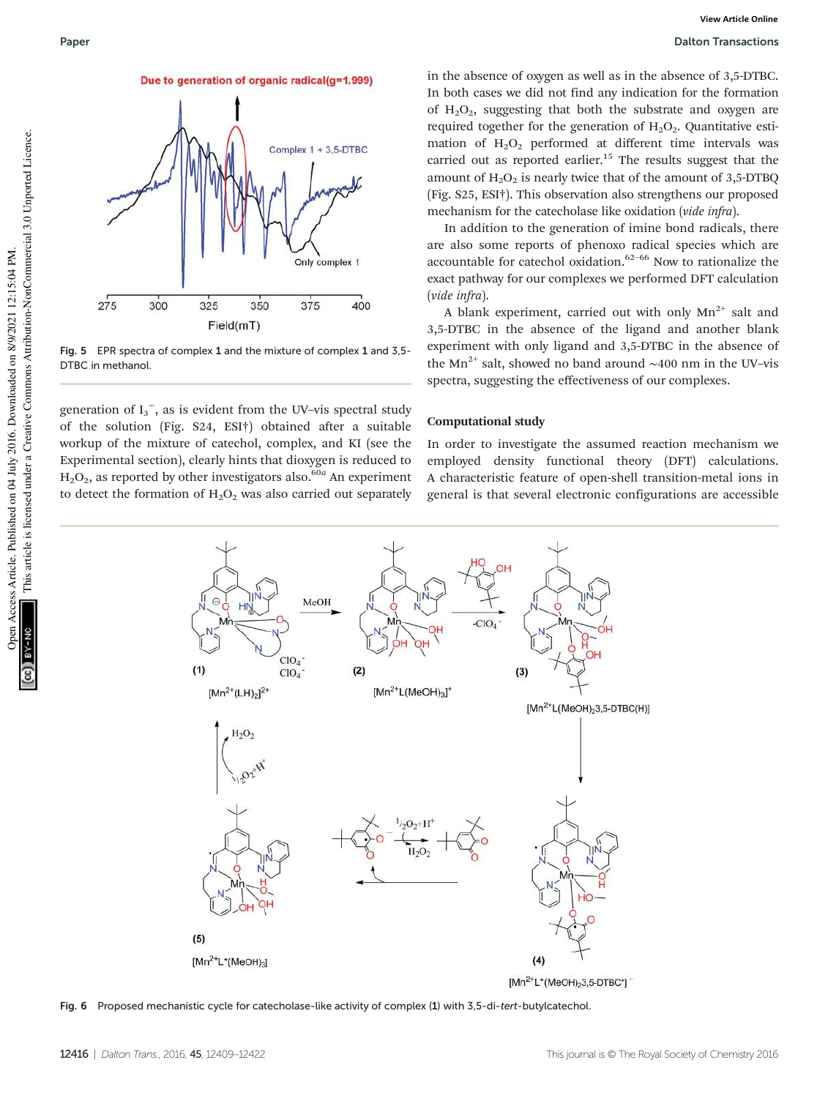

Fig. 5 EPR spectra of complex 1 and the mixture of complex 1 and 3,5- DTBC in methanol.

generation of  $I_3^-$ , as is evident from the UV-vis spectral study of the solution (Fig. S24, ESI†) obtained after a suitable workup of the mixture of catechol, complex, and KI (see the Experimental section), clearly hints that dioxygen is reduced to  $\rm H_2O_2$ , as reported by other investigators also.<sup>60a</sup> An experiment to detect the formation of  $H_2O_2$  was also carried out separately

in the absence of oxygen as well as in the absence of 3,5-DTBC. In both cases we did not find any indication for the formation of  $H_2O_2$ , suggesting that both the substrate and oxygen are required together for the generation of  $H_2O_2$ . Quantitative estimation of  $H_2O_2$  performed at different time intervals was carried out as reported earlier.<sup>15</sup> The results suggest that the amount of  $H_2O_2$  is nearly twice that of the amount of 3,5-DTBQ (Fig. S25, ESI†). This observation also strengthens our proposed mechanism for the catecholase like oxidation (vide infra).

In addition to the generation of imine bond radicals, there are also some reports of phenoxo radical species which are accountable for catechol oxidation. $62-66$  Now to rationalize the exact pathway for our complexes we performed DFT calculation (vide infra).

A blank experiment, carried out with only  $Mn^{2+}$  salt and 3,5-DTBC in the absence of the ligand and another blank experiment with only ligand and 3,5-DTBC in the absence of the Mn<sup>2+</sup> salt, showed no band around ~400 nm in the UV–vis spectra, suggesting the effectiveness of our complexes.

#### Computational study

In order to investigate the assumed reaction mechanism we employed density functional theory (DFT) calculations. A characteristic feature of open-shell transition-metal ions in general is that several electronic configurations are accessible



Fig. 6 Proposed mechanistic cycle for catecholase-like activity of complex (1) with 3,5-di-tert-butylcatechol.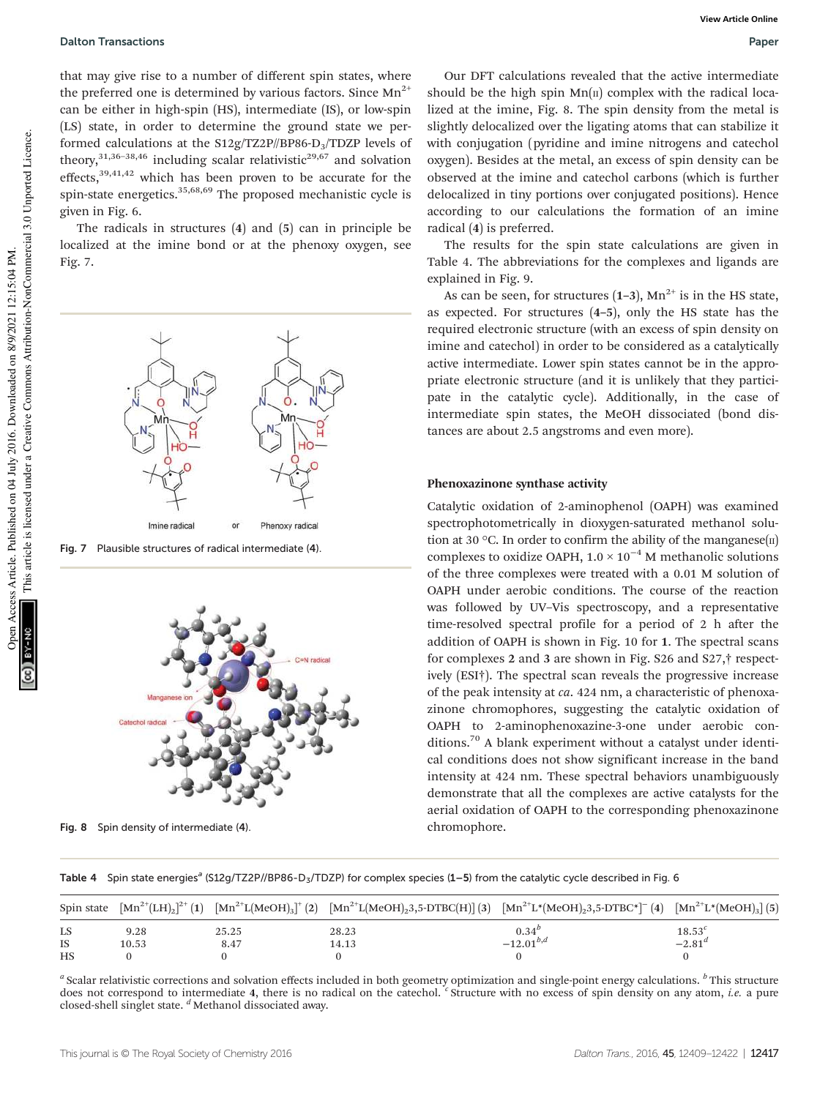#### Dalton Transactions Paper

that may give rise to a number of different spin states, where the preferred one is determined by various factors. Since  $Mn^{2+}$ can be either in high-spin (HS), intermediate (IS), or low-spin (LS) state, in order to determine the ground state we performed calculations at the S12g/TZ2P//BP86-D3/TDZP levels of theory, $31,36-38,46$  including scalar relativistic<sup>29,67</sup> and solvation effects, $39,41,42$  which has been proven to be accurate for the spin-state energetics.<sup>35,68,69</sup> The proposed mechanistic cycle is given in Fig. 6.

The radicals in structures (4) and (5) can in principle be localized at the imine bond or at the phenoxy oxygen, see Fig. 7.



Fig. 7 Plausible structures of radical intermediate (4).



Fig. 8 Spin density of intermediate (4). chromophore.

Our DFT calculations revealed that the active intermediate should be the high spin  $Mn(\pi)$  complex with the radical localized at the imine, Fig. 8. The spin density from the metal is slightly delocalized over the ligating atoms that can stabilize it with conjugation (pyridine and imine nitrogens and catechol oxygen). Besides at the metal, an excess of spin density can be observed at the imine and catechol carbons (which is further delocalized in tiny portions over conjugated positions). Hence according to our calculations the formation of an imine radical (4) is preferred.

The results for the spin state calculations are given in Table 4. The abbreviations for the complexes and ligands are explained in Fig. 9.

As can be seen, for structures  $(1-3)$ ,  $Mn^{2+}$  is in the HS state, as expected. For structures (4–5), only the HS state has the required electronic structure (with an excess of spin density on imine and catechol) in order to be considered as a catalytically active intermediate. Lower spin states cannot be in the appropriate electronic structure (and it is unlikely that they participate in the catalytic cycle). Additionally, in the case of intermediate spin states, the MeOH dissociated (bond distances are about 2.5 angstroms and even more).

#### Phenoxazinone synthase activity

Catalytic oxidation of 2-aminophenol (OAPH) was examined spectrophotometrically in dioxygen-saturated methanol solution at 30 °C. In order to confirm the ability of the manganese $(\text{II})$ complexes to oxidize OAPH,  $1.0 \times 10^{-4}$  M methanolic solutions of the three complexes were treated with a 0.01 M solution of OAPH under aerobic conditions. The course of the reaction was followed by UV–Vis spectroscopy, and a representative time-resolved spectral profile for a period of 2 h after the addition of OAPH is shown in Fig. 10 for 1. The spectral scans for complexes 2 and 3 are shown in Fig. S26 and S27,† respectively (ESI†). The spectral scan reveals the progressive increase of the peak intensity at ca. 424 nm, a characteristic of phenoxazinone chromophores, suggesting the catalytic oxidation of OAPH to 2-aminophenoxazine-3-one under aerobic conditions.<sup>70</sup> A blank experiment without a catalyst under identical conditions does not show significant increase in the band intensity at 424 nm. These spectral behaviors unambiguously demonstrate that all the complexes are active catalysts for the aerial oxidation of OAPH to the corresponding phenoxazinone

Table 4 Spin state energies<sup>a</sup> (S12g/TZ2P//BP86-D<sub>3</sub>/TDZP) for complex species (1–5) from the catalytic cycle described in Fig. 6

|           |       |       |       | Spin state $\left[ \text{Mn}^{2+}(LH)_2 \right]^{2+}(1) \left[ \text{Mn}^{2+}(L(\text{MeOH})_3)^+(2) \left[ \text{Mn}^{2+}(L(\text{MeOH})_23,5-\text{DTBC(H)} \right] (3) \left[ \text{Mn}^{2+}(L^*(\text{MeOH})_23,5-\text{DTBC*} \right]^{-}(4) \left[ \text{Mn}^{2+}(L^*(\text{MeOH})_3)^+(5) \left[ \text{Mn}^{2+}(L^*(\text{MeOH})_3)^+(5) \left[ \text{Mn}^{2+}(L^*(\text{MeOH})$ |             |
|-----------|-------|-------|-------|-----------------------------------------------------------------------------------------------------------------------------------------------------------------------------------------------------------------------------------------------------------------------------------------------------------------------------------------------------------------------------------------|-------------|
| LS        | 9.28  | 25.25 | 28.23 | $0.34^{b}$                                                                                                                                                                                                                                                                                                                                                                              | $18.53^{c}$ |
| <b>IS</b> | 10.53 | 8.47  | 14.13 | $-12.01^{b,d}$                                                                                                                                                                                                                                                                                                                                                                          | $-2.81^{d}$ |
| <b>HS</b> |       |       |       |                                                                                                                                                                                                                                                                                                                                                                                         |             |

a Scalar relativistic corrections and solvation effects included in both geometry optimization and single-point energy calculations. <sup>b</sup> This structure does not correspond to intermediate 4, there is no radical on the catechol. <sup>"</sup> Structure with no excess of spin density on any atom, *i.e.* a pure closed-shell singlet state.  $d$  Methanol dissociated away.

Open Access Article. Published on 04 July 2016. Downloaded on 8/9/2021 12:15:04 PM.

Access Article. Published on 04 July 2016. Downloaded on 8/9/2021 12:15:04 PM.

This article is licensed under a Creative Commons Attribution-NonCommercial 3.0 Unported Licence.

This article is licensed under a Creative Commons Attribution-NonCommercial 3.0 Unported Licence.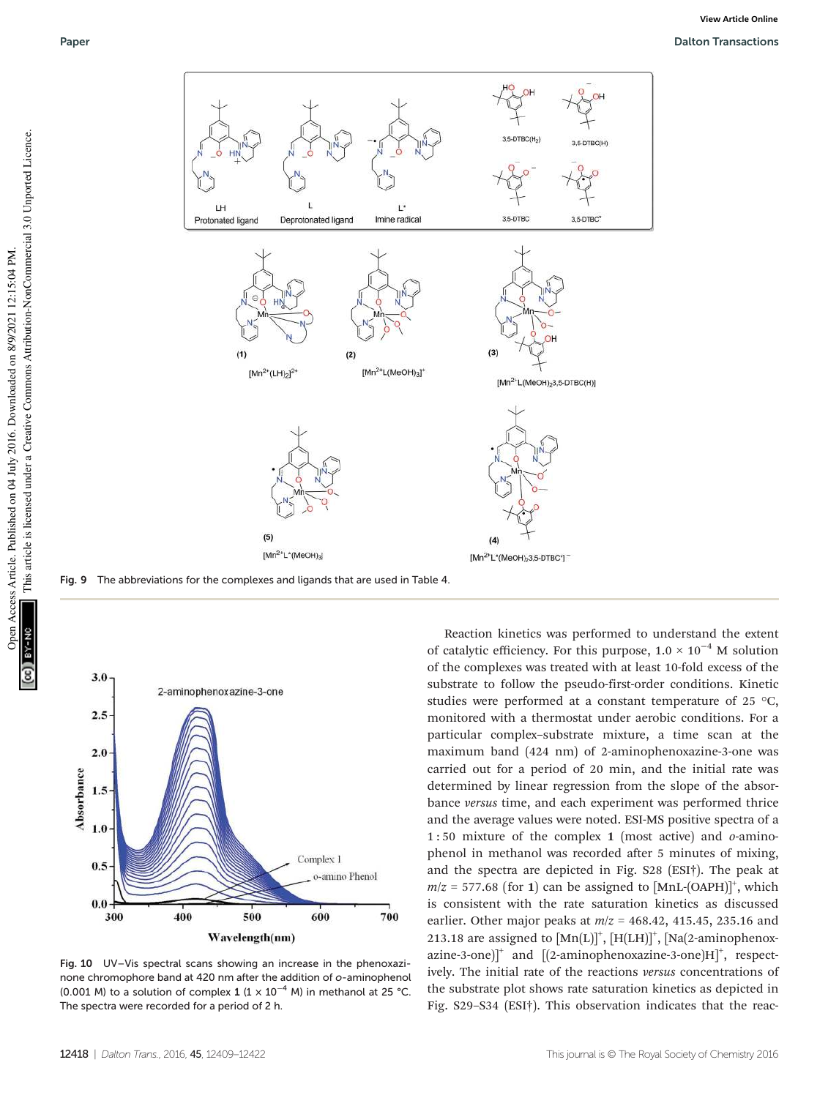

Fig. 9 The abbreviations for the complexes and ligands that are used in Table 4.



Fig. 10 UV–Vis spectral scans showing an increase in the phenoxazinone chromophore band at 420 nm after the addition of o-aminophenol (0.001 M) to a solution of complex 1 (1  $\times$  10<sup>-4</sup> M) in methanol at 25 °C. The spectra were recorded for a period of 2 h.

Reaction kinetics was performed to understand the extent of catalytic efficiency. For this purpose,  $1.0 \times 10^{-4}$  M solution of the complexes was treated with at least 10-fold excess of the substrate to follow the pseudo-first-order conditions. Kinetic studies were performed at a constant temperature of 25 °C, monitored with a thermostat under aerobic conditions. For a particular complex–substrate mixture, a time scan at the maximum band (424 nm) of 2-aminophenoxazine-3-one was carried out for a period of 20 min, and the initial rate was determined by linear regression from the slope of the absorbance versus time, and each experiment was performed thrice and the average values were noted. ESI-MS positive spectra of a 1:50 mixture of the complex 1 (most active) and  $o$ -aminophenol in methanol was recorded after 5 minutes of mixing, and the spectra are depicted in Fig. S28 (ESI†). The peak at  $m/z = 577.68$  (for 1) can be assigned to  $[MnL$ -(OAPH)]<sup>+</sup>, which is consistent with the rate saturation kinetics as discussed earlier. Other major peaks at  $m/z = 468.42$ , 415.45, 235.16 and 213.18 are assigned to  $[Mn(L)]^+$ ,  $[H(LH)]^+$ ,  $[Na(2-aminophenox [2-aminophenoxazine-3-one]H$ <sup>+</sup>, respectively. The initial rate of the reactions versus concentrations of the substrate plot shows rate saturation kinetics as depicted in Fig. S29–S34 (ESI†). This observation indicates that the reac-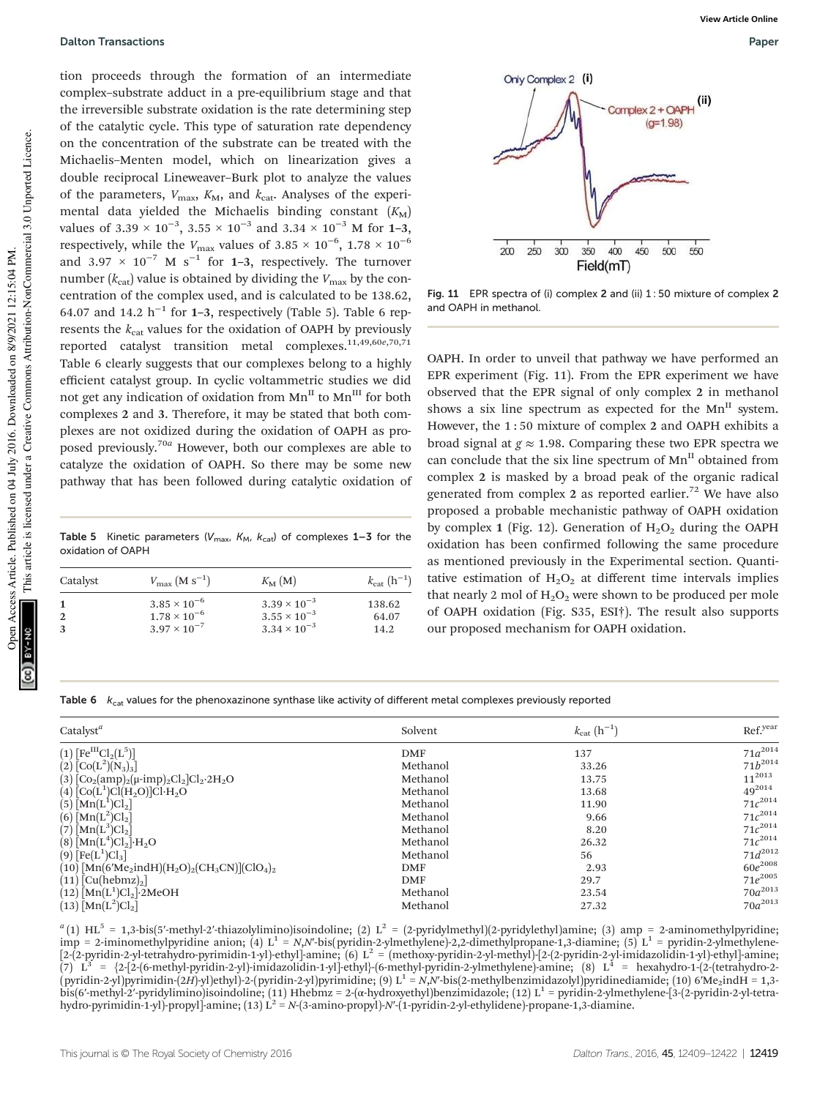tion proceeds through the formation of an intermediate complex–substrate adduct in a pre-equilibrium stage and that the irreversible substrate oxidation is the rate determining step of the catalytic cycle. This type of saturation rate dependency on the concentration of the substrate can be treated with the Michaelis–Menten model, which on linearization gives a double reciprocal Lineweaver–Burk plot to analyze the values of the parameters,  $V_{\text{max}}$ ,  $K_{\text{M}}$ , and  $k_{\text{cat}}$ . Analyses of the experimental data yielded the Michaelis binding constant  $(K_M)$ values of 3.39  $\times$  10<sup>-3</sup>, 3.55  $\times$  10<sup>-3</sup> and 3.34  $\times$  10<sup>-3</sup> M for 1-3, respectively, while the  $V_{\rm max}$  values of 3.85 × 10<sup>-6</sup>, 1.78 × 10<sup>-6</sup> and 3.97  $\times$  10<sup>-7</sup> M s<sup>-1</sup> for 1-3, respectively. The turnover number ( $k_{\text{cat}}$ ) value is obtained by dividing the  $V_{\text{max}}$  by the concentration of the complex used, and is calculated to be 138.62, 64.07 and 14.2  $h^{-1}$  for 1-3, respectively (Table 5). Table 6 represents the  $k_{\text{cat}}$  values for the oxidation of OAPH by previously reported catalyst transition metal complexes.<sup>11,49,60e,70,71</sup> Table 6 clearly suggests that our complexes belong to a highly efficient catalyst group. In cyclic voltammetric studies we did not get any indication of oxidation from  $Mn^H$  to  $Mn^H$  for both complexes 2 and 3. Therefore, it may be stated that both complexes are not oxidized during the oxidation of OAPH as proposed previously.70<sup>a</sup> However, both our complexes are able to catalyze the oxidation of OAPH. So there may be some new pathway that has been followed during catalytic oxidation of

Table 5 Kinetic parameters ( $V_{\text{max}}$ ,  $K_{\text{M}}$ ,  $K_{\text{cat}}$ ) of complexes 1–3 for the oxidation of OAPH

| Catalyst | $V_{\text{max}} (M s^{-1})$ | $K_{\mathbf{M}}(\mathbf{M})$ | $k_{\rm cat}$ $(h^{-1})$ |
|----------|-----------------------------|------------------------------|--------------------------|
|          | $3.85 \times 10^{-6}$       | $3.39 \times 10^{-3}$        | 138.62                   |
|          | $1.78 \times 10^{-6}$       | $3.55 \times 10^{-3}$        | 64.07                    |
|          | $3.97 \times 10^{-7}$       | $3.34 \times 10^{-3}$        | 14.2                     |



Fig. 11 EPR spectra of (i) complex 2 and (ii) 1 : 50 mixture of complex 2 and OAPH in methanol.

OAPH. In order to unveil that pathway we have performed an EPR experiment (Fig. 11). From the EPR experiment we have observed that the EPR signal of only complex 2 in methanol shows a six line spectrum as expected for the  $Mn^{\text{II}}$  system. However, the 1 : 50 mixture of complex 2 and OAPH exhibits a broad signal at  $g \approx 1.98$ . Comparing these two EPR spectra we can conclude that the six line spectrum of Mn<sup>II</sup> obtained from complex 2 is masked by a broad peak of the organic radical generated from complex 2 as reported earlier.<sup>72</sup> We have also proposed a probable mechanistic pathway of OAPH oxidation by complex 1 (Fig. 12). Generation of  $H_2O_2$  during the OAPH oxidation has been confirmed following the same procedure as mentioned previously in the Experimental section. Quantitative estimation of  $H_2O_2$  at different time intervals implies that nearly 2 mol of  $H_2O_2$  were shown to be produced per mole of OAPH oxidation (Fig. S35, ESI†). The result also supports our proposed mechanism for OAPH oxidation.

Table 6  $k_{cat}$  values for the phenoxazinone synthase like activity of different metal complexes previously reported

| Catalyst <sup>a</sup>                                                                                                   | Solvent    | $k_{\rm cat}$ $(h^{-1})$ | Ref.year     |
|-------------------------------------------------------------------------------------------------------------------------|------------|--------------------------|--------------|
| $(1)$ [Fe <sup>III</sup> Cl <sub>2</sub> (L <sup>5</sup> )]                                                             | <b>DMF</b> | 137                      | $71a^{2014}$ |
| $(2)\left[Co(L^{2})(N_{3})_{3}\right]$                                                                                  | Methanol   | 33.26                    | $71b^{2014}$ |
| (3) $[Co2(amp)2(\mu-imp)2Cl2]Cl2·2H2O$                                                                                  | Methanol   | 13.75                    | $11^{2013}$  |
| $(4)$ [Co(L <sup>1</sup> )Cl(H <sub>2</sub> O)]Cl·H <sub>2</sub> O                                                      | Methanol   | 13.68                    | $49^{2014}$  |
| $(5)$ $[Mn(L^{1})Cl_{2}]$                                                                                               | Methanol   | 11.90                    | $71c^{2014}$ |
| (6) $[Mn(L^2)Cl_2]$                                                                                                     | Methanol   | 9.66                     | $71c^{2014}$ |
| $(7)$ [Mn(L <sup>3</sup> )Cl <sub>2</sub> ]                                                                             | Methanol   | 8.20                     | $71c^{2014}$ |
| $(8)$ $[Mn(L^{4})Cl_{2}] \cdot H_{2}O$                                                                                  | Methanol   | 26.32                    | $71c^{2014}$ |
| $(9)$ [Fe(L <sup>1</sup> )Cl <sub>3</sub> ]                                                                             | Methanol   | 56                       | $71d^{2012}$ |
| $(10)$ [Mn(6'Me <sub>2</sub> indH)(H <sub>2</sub> O) <sub>2</sub> (CH <sub>3</sub> CN)](ClO <sub>4</sub> ) <sub>2</sub> | <b>DMF</b> | 2.93                     | $60e^{2008}$ |
| $(11)$ [Cu(hebmz) <sub>2</sub> ]                                                                                        | <b>DMF</b> | 29.7                     | $71e^{2005}$ |
| $(12)$ Mn(L <sup>1</sup> )Cl <sub>2</sub> ). 2MeOH                                                                      | Methanol   | 23.54                    | $70a^{2013}$ |
| $(13)$ [Mn(L <sup>2</sup> )Cl <sub>2</sub> ]                                                                            | Methanol   | 27.32                    | $70a^{2013}$ |

 ${}^{a}$ (1) HL<sup>5</sup> = 1,3-bis(5'-methyl-2'-thiazolylimino)isoindoline; (2) L<sup>2</sup> = (2-pyridylmethyl)(2-pyridylethyl)amine; (3) amp = 2-aminomethylpyridine;<br>imp = 2-iminomethylpyridine anion; (4) L<sup>1</sup> = *N,N*'-bis(pyridin-2-ylm (7)  $L^3$  = {2-[2-(6-methyl-pyridin-2-yl)-imidazolidin-1-yl]-ethyl}-(6-methyl-pyridin-2-ylmethylene)-amine; (8)  $L^4$  = hexahydro-1-(2-(tetrahydro-2- $(\mathrm{pyridin\text{-}2-yl})$ pyrimidin-(2H)-yl)ethyl)-2-(pyridin-2-yl)pyrimidine; (9) L $^1$  = N,N'-bis(2-methylbenzimidazolyl)pyridinediamide; (10) 6'Me<sub>2</sub>indH = 1,3bis(6′-methyl-2′-pyridylimino)isoindoline; (11) Hhebmz = 2-(α-hydroxyethyl)benzimidazole; (12) L<sup>1</sup> = pyridin-2-ylmethylene-[3-(2-pyridin-2-yl-tetrahydro-pyrimidin-1-yl)-propyl]-amine;  $(13)$  L<sup>2</sup> = N-(3-amino-propyl)-N'-(1-pyridin-2-yl-ethylidene)-propane-1,3-diamine.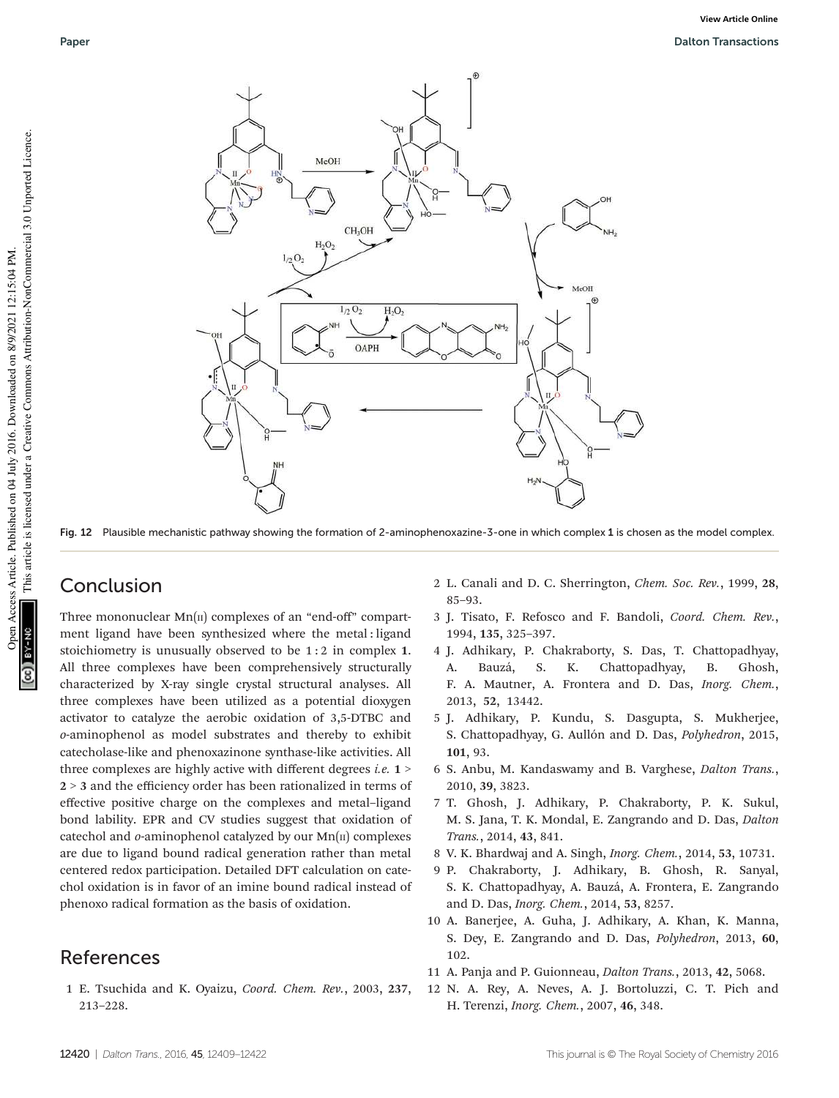

Fig. 12 Plausible mechanistic pathway showing the formation of 2-aminophenoxazine-3-one in which complex 1 is chosen as the model complex.

### Conclusion

Three mononuclear  $Mn(\pi)$  complexes of an "end-off" compartment ligand have been synthesized where the metal : ligand stoichiometry is unusually observed to be 1 : 2 in complex 1. All three complexes have been comprehensively structurally characterized by X-ray single crystal structural analyses. All three complexes have been utilized as a potential dioxygen activator to catalyze the aerobic oxidation of 3,5-DTBC and o-aminophenol as model substrates and thereby to exhibit catecholase-like and phenoxazinone synthase-like activities. All three complexes are highly active with different degrees *i.e.*  $1$  > 2 > 3 and the efficiency order has been rationalized in terms of effective positive charge on the complexes and metal–ligand bond lability. EPR and CV studies suggest that oxidation of catechol and  $o$ -aminophenol catalyzed by our  $Mn(\text{II})$  complexes are due to ligand bound radical generation rather than metal centered redox participation. Detailed DFT calculation on catechol oxidation is in favor of an imine bound radical instead of phenoxo radical formation as the basis of oxidation.

## References

1 E. Tsuchida and K. Oyaizu, Coord. Chem. Rev., 2003, 237, 213–228.

- 2 L. Canali and D. C. Sherrington, Chem. Soc. Rev., 1999, 28, 85–93.
- 3 J. Tisato, F. Refosco and F. Bandoli, Coord. Chem. Rev., 1994, 135, 325–397.
- 4 J. Adhikary, P. Chakraborty, S. Das, T. Chattopadhyay, A. Bauzá, S. K. Chattopadhyay, B. Ghosh, F. A. Mautner, A. Frontera and D. Das, Inorg. Chem., 2013, 52, 13442.
- 5 J. Adhikary, P. Kundu, S. Dasgupta, S. Mukherjee, S. Chattopadhyay, G. Aullón and D. Das, Polyhedron, 2015, 101, 93.
- 6 S. Anbu, M. Kandaswamy and B. Varghese, Dalton Trans., 2010, 39, 3823.
- 7 T. Ghosh, J. Adhikary, P. Chakraborty, P. K. Sukul, M. S. Jana, T. K. Mondal, E. Zangrando and D. Das, Dalton Trans., 2014, 43, 841.
- 8 V. K. Bhardwaj and A. Singh, Inorg. Chem., 2014, 53, 10731.
- 9 P. Chakraborty, J. Adhikary, B. Ghosh, R. Sanyal, S. K. Chattopadhyay, A. Bauzá, A. Frontera, E. Zangrando and D. Das, Inorg. Chem., 2014, 53, 8257.
- 10 A. Banerjee, A. Guha, J. Adhikary, A. Khan, K. Manna, S. Dey, E. Zangrando and D. Das, Polyhedron, 2013, 60, 102.
- 11 A. Panja and P. Guionneau, Dalton Trans., 2013, 42, 5068.
- 12 N. A. Rey, A. Neves, A. J. Bortoluzzi, C. T. Pich and H. Terenzi, Inorg. Chem., 2007, 46, 348.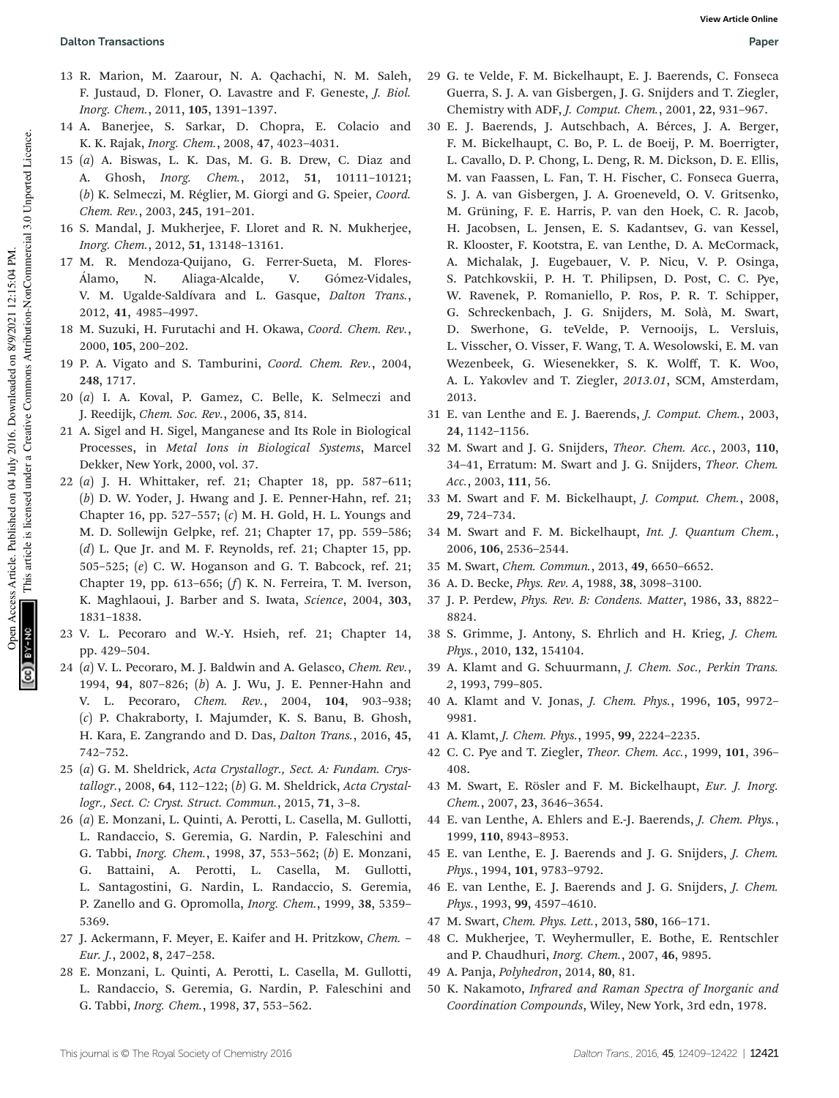- 13 R. Marion, M. Zaarour, N. A. Qachachi, N. M. Saleh, F. Justaud, D. Floner, O. Lavastre and F. Geneste, J. Biol. Inorg. Chem., 2011, 105, 1391–1397.
- 14 A. Banerjee, S. Sarkar, D. Chopra, E. Colacio and K. K. Rajak, Inorg. Chem., 2008, 47, 4023–4031.
- 15 (a) A. Biswas, L. K. Das, M. G. B. Drew, C. Diaz and A. Ghosh, Inorg. Chem., 2012, 51, 10111–10121; (b) K. Selmeczi, M. Réglier, M. Giorgi and G. Speier, Coord. Chem. Rev., 2003, 245, 191–201.
- 16 S. Mandal, J. Mukherjee, F. Lloret and R. N. Mukherjee, Inorg. Chem., 2012, 51, 13148–13161.
- 17 M. R. Mendoza-Quijano, G. Ferrer-Sueta, M. Flores-Álamo, N. Aliaga-Alcalde, V. Gómez-Vidales, V. M. Ugalde-Saldívara and L. Gasque, Dalton Trans., 2012, 41, 4985–4997.
- 18 M. Suzuki, H. Furutachi and H. Okawa, Coord. Chem. Rev., 2000, 105, 200–202.
- 19 P. A. Vigato and S. Tamburini, Coord. Chem. Rev., 2004, 248, 1717.
- 20 (a) I. A. Koval, P. Gamez, C. Belle, K. Selmeczi and J. Reedijk, Chem. Soc. Rev., 2006, 35, 814.
- 21 A. Sigel and H. Sigel, Manganese and Its Role in Biological Processes, in Metal Ions in Biological Systems, Marcel Dekker, New York, 2000, vol. 37.
- 22 (a) J. H. Whittaker, ref. 21; Chapter 18, pp. 587–611; (b) D. W. Yoder, J. Hwang and J. E. Penner-Hahn, ref. 21; Chapter 16, pp. 527–557; (c) M. H. Gold, H. L. Youngs and M. D. Sollewijn Gelpke, ref. 21; Chapter 17, pp. 559–586; (d) L. Que Jr. and M. F. Reynolds, ref. 21; Chapter 15, pp. 505–525; (e) C. W. Hoganson and G. T. Babcock, ref. 21; Chapter 19, pp. 613–656; (f) K. N. Ferreira, T. M. Iverson, K. Maghlaoui, J. Barber and S. Iwata, Science, 2004, 303, 1831–1838.
- 23 V. L. Pecoraro and W.-Y. Hsieh, ref. 21; Chapter 14, pp. 429–504.
- 24 (a) V. L. Pecoraro, M. J. Baldwin and A. Gelasco, Chem. Rev., 1994, 94, 807–826; (b) A. J. Wu, J. E. Penner-Hahn and V. L. Pecoraro, Chem. Rev., 2004, 104, 903–938; (c) P. Chakraborty, I. Majumder, K. S. Banu, B. Ghosh, H. Kara, E. Zangrando and D. Das, Dalton Trans., 2016, 45, 742–752.
- 25 (a) G. M. Sheldrick, Acta Crystallogr., Sect. A: Fundam. Crystallogr., 2008, 64, 112–122; (b) G. M. Sheldrick, Acta Crystallogr., Sect. C: Cryst. Struct. Commun., 2015, 71, 3–8.
- 26 (a) E. Monzani, L. Quinti, A. Perotti, L. Casella, M. Gullotti, L. Randaccio, S. Geremia, G. Nardin, P. Faleschini and G. Tabbi, Inorg. Chem., 1998, 37, 553–562; (b) E. Monzani, G. Battaini, A. Perotti, L. Casella, M. Gullotti, L. Santagostini, G. Nardin, L. Randaccio, S. Geremia, P. Zanello and G. Opromolla, Inorg. Chem., 1999, 38, 5359– 5369.
- 27 J. Ackermann, F. Meyer, E. Kaifer and H. Pritzkow, Chem. Eur. J., 2002, 8, 247–258.
- 28 E. Monzani, L. Quinti, A. Perotti, L. Casella, M. Gullotti, L. Randaccio, S. Geremia, G. Nardin, P. Faleschini and G. Tabbi, Inorg. Chem., 1998, 37, 553–562.
- 29 G. te Velde, F. M. Bickelhaupt, E. J. Baerends, C. Fonseca Guerra, S. J. A. van Gisbergen, J. G. Snijders and T. Ziegler, Chemistry with ADF, J. Comput. Chem., 2001, 22, 931–967.
- 30 E. J. Baerends, J. Autschbach, A. Bérces, J. A. Berger, F. M. Bickelhaupt, C. Bo, P. L. de Boeij, P. M. Boerrigter, L. Cavallo, D. P. Chong, L. Deng, R. M. Dickson, D. E. Ellis, M. van Faassen, L. Fan, T. H. Fischer, C. Fonseca Guerra, S. J. A. van Gisbergen, J. A. Groeneveld, O. V. Gritsenko, M. Grüning, F. E. Harris, P. van den Hoek, C. R. Jacob, H. Jacobsen, L. Jensen, E. S. Kadantsev, G. van Kessel, R. Klooster, F. Kootstra, E. van Lenthe, D. A. McCormack, A. Michalak, J. Eugebauer, V. P. Nicu, V. P. Osinga, S. Patchkovskii, P. H. T. Philipsen, D. Post, C. C. Pye, W. Ravenek, P. Romaniello, P. Ros, P. R. T. Schipper, G. Schreckenbach, J. G. Snijders, M. Solà, M. Swart, D. Swerhone, G. teVelde, P. Vernooijs, L. Versluis, L. Visscher, O. Visser, F. Wang, T. A. Wesolowski, E. M. van Wezenbeek, G. Wiesenekker, S. K. Wolff, T. K. Woo, A. L. Yakovlev and T. Ziegler, 2013.01, SCM, Amsterdam, 2013.
- 31 E. van Lenthe and E. J. Baerends, J. Comput. Chem., 2003, 24, 1142–1156.
- 32 M. Swart and J. G. Snijders, Theor. Chem. Acc., 2003, 110, 34–41, Erratum: M. Swart and J. G. Snijders, Theor. Chem. Acc., 2003, 111, 56.
- 33 M. Swart and F. M. Bickelhaupt, J. Comput. Chem., 2008, 29, 724–734.
- 34 M. Swart and F. M. Bickelhaupt, Int. J. Quantum Chem., 2006, 106, 2536–2544.
- 35 M. Swart, Chem. Commun., 2013, 49, 6650–6652.
- 36 A. D. Becke, Phys. Rev. A, 1988, 38, 3098–3100.
- 37 J. P. Perdew, Phys. Rev. B: Condens. Matter, 1986, 33, 8822– 8824.
- 38 S. Grimme, J. Antony, S. Ehrlich and H. Krieg, J. Chem. Phys., 2010, 132, 154104.
- 39 A. Klamt and G. Schuurmann, J. Chem. Soc., Perkin Trans. 2, 1993, 799–805.
- 40 A. Klamt and V. Jonas, J. Chem. Phys., 1996, 105, 9972– 9981.
- 41 A. Klamt, J. Chem. Phys., 1995, 99, 2224–2235.
- 42 C. C. Pye and T. Ziegler, Theor. Chem. Acc., 1999, 101, 396– 408.
- 43 M. Swart, E. Rösler and F. M. Bickelhaupt, Eur. J. Inorg. Chem., 2007, 23, 3646–3654.
- 44 E. van Lenthe, A. Ehlers and E.-J. Baerends, J. Chem. Phys., 1999, 110, 8943–8953.
- 45 E. van Lenthe, E. J. Baerends and J. G. Snijders, J. Chem. Phys., 1994, 101, 9783–9792.
- 46 E. van Lenthe, E. J. Baerends and J. G. Snijders, J. Chem. Phys., 1993, 99, 4597–4610.
- 47 M. Swart, Chem. Phys. Lett., 2013, 580, 166–171.
- 48 C. Mukherjee, T. Weyhermuller, E. Bothe, E. Rentschler and P. Chaudhuri, Inorg. Chem., 2007, 46, 9895.
- 49 A. Panja, Polyhedron, 2014, 80, 81.
- 50 K. Nakamoto, Infrared and Raman Spectra of Inorganic and Coordination Compounds, Wiley, New York, 3rd edn, 1978.